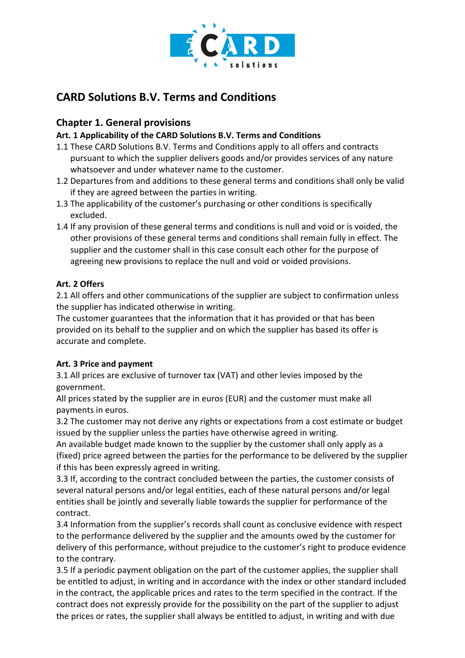

# **CARD Solutions B.V. Terms and Conditions**

# **Chapter 1. General provisions**

# **Art. 1 Applicability of the CARD Solutions B.V. Terms and Conditions**

- 1.1 These CARD Solutions B.V. Terms and Conditions apply to all offers and contracts pursuant to which the supplier delivers goods and/or provides services of any nature whatsoever and under whatever name to the customer.
- 1.2 Departures from and additions to these general terms and conditions shall only be valid if they are agreed between the parties in writing.
- 1.3 The applicability of the customer's purchasing or other conditions is specifically excluded.
- 1.4 If any provision of these general terms and conditions is null and void or is voided, the other provisions of these general terms and conditions shall remain fully in effect. The supplier and the customer shall in this case consult each other for the purpose of agreeing new provisions to replace the null and void or voided provisions.

### **Art. 2 Offers**

2.1 All offers and other communications of the supplier are subject to confirmation unless the supplier has indicated otherwise in writing.

The customer guarantees that the information that it has provided or that has been provided on its behalf to the supplier and on which the supplier has based its offer is accurate and complete.

# **Art. 3 Price and payment**

3.1 All prices are exclusive of turnover tax (VAT) and other levies imposed by the government.

All prices stated by the supplier are in euros (EUR) and the customer must make all payments in euros.

3.2 The customer may not derive any rights or expectations from a cost estimate or budget issued by the supplier unless the parties have otherwise agreed in writing.

An available budget made known to the supplier by the customer shall only apply as a (fixed) price agreed between the parties for the performance to be delivered by the supplier if this has been expressly agreed in writing.

3.3 If, according to the contract concluded between the parties, the customer consists of several natural persons and/or legal entities, each of these natural persons and/or legal entities shall be jointly and severally liable towards the supplier for performance of the contract.

3.4 Information from the supplier's records shall count as conclusive evidence with respect to the performance delivered by the supplier and the amounts owed by the customer for delivery of this performance, without prejudice to the customer's right to produce evidence to the contrary.

3.5 If a periodic payment obligation on the part of the customer applies, the supplier shall be entitled to adjust, in writing and in accordance with the index or other standard included in the contract, the applicable prices and rates to the term specified in the contract. If the contract does not expressly provide for the possibility on the part of the supplier to adjust the prices or rates, the supplier shall always be entitled to adjust, in writing and with due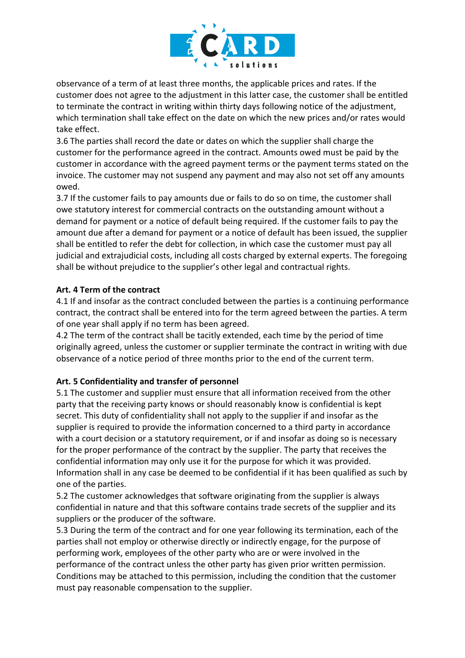

observance of a term of at least three months, the applicable prices and rates. If the customer does not agree to the adjustment in this latter case, the customer shall be entitled to terminate the contract in writing within thirty days following notice of the adjustment, which termination shall take effect on the date on which the new prices and/or rates would take effect.

3.6 The parties shall record the date or dates on which the supplier shall charge the customer for the performance agreed in the contract. Amounts owed must be paid by the customer in accordance with the agreed payment terms or the payment terms stated on the invoice. The customer may not suspend any payment and may also not set off any amounts owed.

3.7 If the customer fails to pay amounts due or fails to do so on time, the customer shall owe statutory interest for commercial contracts on the outstanding amount without a demand for payment or a notice of default being required. If the customer fails to pay the amount due after a demand for payment or a notice of default has been issued, the supplier shall be entitled to refer the debt for collection, in which case the customer must pay all judicial and extrajudicial costs, including all costs charged by external experts. The foregoing shall be without prejudice to the supplier's other legal and contractual rights.

### **Art. 4 Term of the contract**

4.1 If and insofar as the contract concluded between the parties is a continuing performance contract, the contract shall be entered into for the term agreed between the parties. A term of one year shall apply if no term has been agreed.

4.2 The term of the contract shall be tacitly extended, each time by the period of time originally agreed, unless the customer or supplier terminate the contract in writing with due observance of a notice period of three months prior to the end of the current term.

### **Art. 5 Confidentiality and transfer of personnel**

5.1 The customer and supplier must ensure that all information received from the other party that the receiving party knows or should reasonably know is confidential is kept secret. This duty of confidentiality shall not apply to the supplier if and insofar as the supplier is required to provide the information concerned to a third party in accordance with a court decision or a statutory requirement, or if and insofar as doing so is necessary for the proper performance of the contract by the supplier. The party that receives the confidential information may only use it for the purpose for which it was provided. Information shall in any case be deemed to be confidential if it has been qualified as such by one of the parties.

5.2 The customer acknowledges that software originating from the supplier is always confidential in nature and that this software contains trade secrets of the supplier and its suppliers or the producer of the software.

5.3 During the term of the contract and for one year following its termination, each of the parties shall not employ or otherwise directly or indirectly engage, for the purpose of performing work, employees of the other party who are or were involved in the performance of the contract unless the other party has given prior written permission. Conditions may be attached to this permission, including the condition that the customer must pay reasonable compensation to the supplier.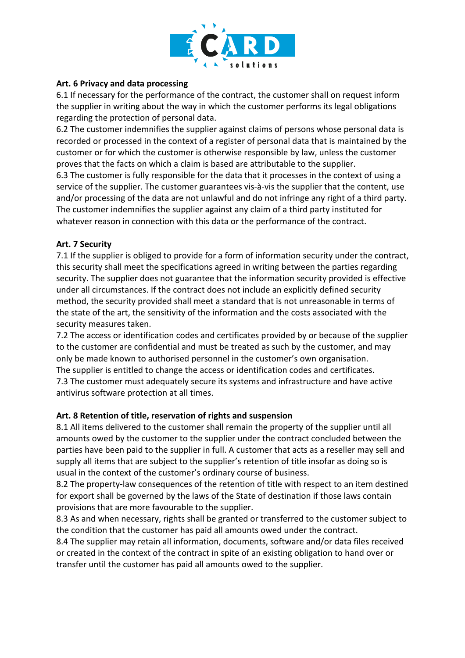

### **Art. 6 Privacy and data processing**

6.1 If necessary for the performance of the contract, the customer shall on request inform the supplier in writing about the way in which the customer performs its legal obligations regarding the protection of personal data.

6.2 The customer indemnifies the supplier against claims of persons whose personal data is recorded or processed in the context of a register of personal data that is maintained by the customer or for which the customer is otherwise responsible by law, unless the customer proves that the facts on which a claim is based are attributable to the supplier.

6.3 The customer is fully responsible for the data that it processes in the context of using a service of the supplier. The customer guarantees vis-à-vis the supplier that the content, use and/or processing of the data are not unlawful and do not infringe any right of a third party. The customer indemnifies the supplier against any claim of a third party instituted for whatever reason in connection with this data or the performance of the contract.

#### **Art. 7 Security**

7.1 If the supplier is obliged to provide for a form of information security under the contract, this security shall meet the specifications agreed in writing between the parties regarding security. The supplier does not guarantee that the information security provided is effective under all circumstances. If the contract does not include an explicitly defined security method, the security provided shall meet a standard that is not unreasonable in terms of the state of the art, the sensitivity of the information and the costs associated with the security measures taken.

7.2 The access or identification codes and certificates provided by or because of the supplier to the customer are confidential and must be treated as such by the customer, and may only be made known to authorised personnel in the customer's own organisation. The supplier is entitled to change the access or identification codes and certificates. 7.3 The customer must adequately secure its systems and infrastructure and have active antivirus software protection at all times.

#### **Art. 8 Retention of title, reservation of rights and suspension**

8.1 All items delivered to the customer shall remain the property of the supplier until all amounts owed by the customer to the supplier under the contract concluded between the parties have been paid to the supplier in full. A customer that acts as a reseller may sell and supply all items that are subject to the supplier's retention of title insofar as doing so is usual in the context of the customer's ordinary course of business.

8.2 The property-law consequences of the retention of title with respect to an item destined for export shall be governed by the laws of the State of destination if those laws contain provisions that are more favourable to the supplier.

8.3 As and when necessary, rights shall be granted or transferred to the customer subject to the condition that the customer has paid all amounts owed under the contract.

8.4 The supplier may retain all information, documents, software and/or data files received or created in the context of the contract in spite of an existing obligation to hand over or transfer until the customer has paid all amounts owed to the supplier.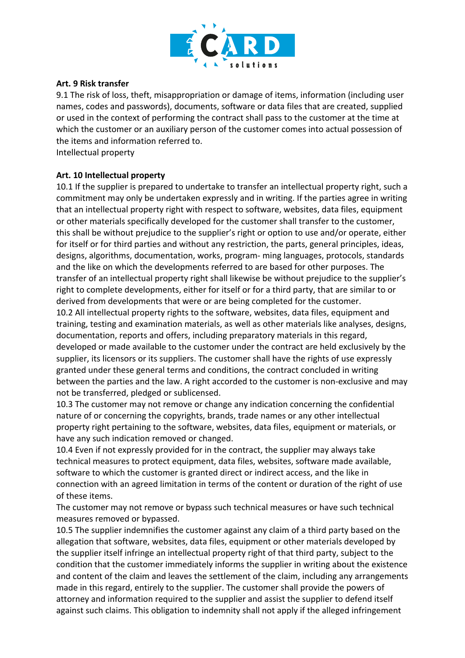

#### **Art. 9 Risk transfer**

9.1 The risk of loss, theft, misappropriation or damage of items, information (including user names, codes and passwords), documents, software or data files that are created, supplied or used in the context of performing the contract shall pass to the customer at the time at which the customer or an auxiliary person of the customer comes into actual possession of the items and information referred to.

Intellectual property

### **Art. 10 Intellectual property**

10.1 If the supplier is prepared to undertake to transfer an intellectual property right, such a commitment may only be undertaken expressly and in writing. If the parties agree in writing that an intellectual property right with respect to software, websites, data files, equipment or other materials specifically developed for the customer shall transfer to the customer, this shall be without prejudice to the supplier's right or option to use and/or operate, either for itself or for third parties and without any restriction, the parts, general principles, ideas, designs, algorithms, documentation, works, program- ming languages, protocols, standards and the like on which the developments referred to are based for other purposes. The transfer of an intellectual property right shall likewise be without prejudice to the supplier's right to complete developments, either for itself or for a third party, that are similar to or derived from developments that were or are being completed for the customer.

10.2 All intellectual property rights to the software, websites, data files, equipment and training, testing and examination materials, as well as other materials like analyses, designs, documentation, reports and offers, including preparatory materials in this regard, developed or made available to the customer under the contract are held exclusively by the supplier, its licensors or its suppliers. The customer shall have the rights of use expressly granted under these general terms and conditions, the contract concluded in writing between the parties and the law. A right accorded to the customer is non-exclusive and may not be transferred, pledged or sublicensed.

10.3 The customer may not remove or change any indication concerning the confidential nature of or concerning the copyrights, brands, trade names or any other intellectual property right pertaining to the software, websites, data files, equipment or materials, or have any such indication removed or changed.

10.4 Even if not expressly provided for in the contract, the supplier may always take technical measures to protect equipment, data files, websites, software made available, software to which the customer is granted direct or indirect access, and the like in connection with an agreed limitation in terms of the content or duration of the right of use of these items.

The customer may not remove or bypass such technical measures or have such technical measures removed or bypassed.

10.5 The supplier indemnifies the customer against any claim of a third party based on the allegation that software, websites, data files, equipment or other materials developed by the supplier itself infringe an intellectual property right of that third party, subject to the condition that the customer immediately informs the supplier in writing about the existence and content of the claim and leaves the settlement of the claim, including any arrangements made in this regard, entirely to the supplier. The customer shall provide the powers of attorney and information required to the supplier and assist the supplier to defend itself against such claims. This obligation to indemnity shall not apply if the alleged infringement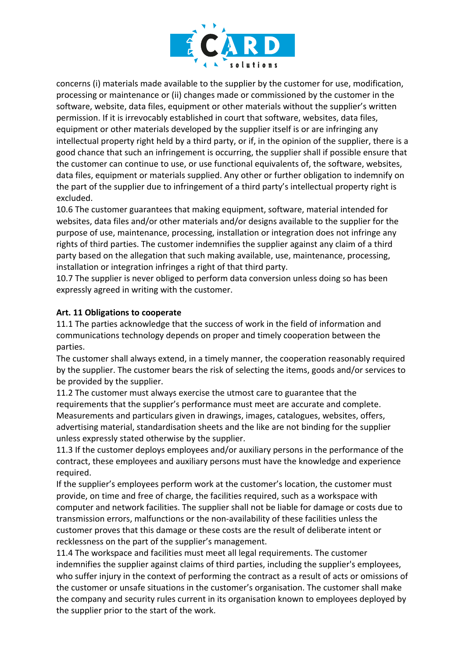

concerns (i) materials made available to the supplier by the customer for use, modification, processing or maintenance or (ii) changes made or commissioned by the customer in the software, website, data files, equipment or other materials without the supplier's written permission. If it is irrevocably established in court that software, websites, data files, equipment or other materials developed by the supplier itself is or are infringing any intellectual property right held by a third party, or if, in the opinion of the supplier, there is a good chance that such an infringement is occurring, the supplier shall if possible ensure that the customer can continue to use, or use functional equivalents of, the software, websites, data files, equipment or materials supplied. Any other or further obligation to indemnify on the part of the supplier due to infringement of a third party's intellectual property right is excluded.

10.6 The customer guarantees that making equipment, software, material intended for websites, data files and/or other materials and/or designs available to the supplier for the purpose of use, maintenance, processing, installation or integration does not infringe any rights of third parties. The customer indemnifies the supplier against any claim of a third party based on the allegation that such making available, use, maintenance, processing, installation or integration infringes a right of that third party.

10.7 The supplier is never obliged to perform data conversion unless doing so has been expressly agreed in writing with the customer.

### **Art. 11 Obligations to cooperate**

11.1 The parties acknowledge that the success of work in the field of information and communications technology depends on proper and timely cooperation between the parties.

The customer shall always extend, in a timely manner, the cooperation reasonably required by the supplier. The customer bears the risk of selecting the items, goods and/or services to be provided by the supplier.

11.2 The customer must always exercise the utmost care to guarantee that the requirements that the supplier's performance must meet are accurate and complete. Measurements and particulars given in drawings, images, catalogues, websites, offers, advertising material, standardisation sheets and the like are not binding for the supplier unless expressly stated otherwise by the supplier.

11.3 If the customer deploys employees and/or auxiliary persons in the performance of the contract, these employees and auxiliary persons must have the knowledge and experience required.

If the supplier's employees perform work at the customer's location, the customer must provide, on time and free of charge, the facilities required, such as a workspace with computer and network facilities. The supplier shall not be liable for damage or costs due to transmission errors, malfunctions or the non-availability of these facilities unless the customer proves that this damage or these costs are the result of deliberate intent or recklessness on the part of the supplier's management.

11.4 The workspace and facilities must meet all legal requirements. The customer indemnifies the supplier against claims of third parties, including the supplier's employees, who suffer injury in the context of performing the contract as a result of acts or omissions of the customer or unsafe situations in the customer's organisation. The customer shall make the company and security rules current in its organisation known to employees deployed by the supplier prior to the start of the work.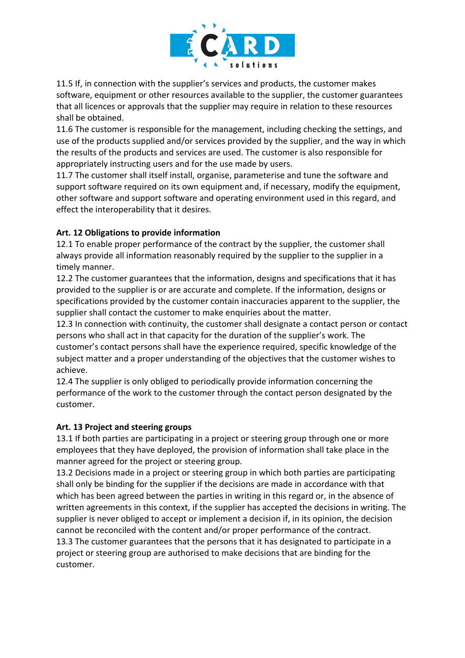

11.5 If, in connection with the supplier's services and products, the customer makes software, equipment or other resources available to the supplier, the customer guarantees that all licences or approvals that the supplier may require in relation to these resources shall be obtained.

11.6 The customer is responsible for the management, including checking the settings, and use of the products supplied and/or services provided by the supplier, and the way in which the results of the products and services are used. The customer is also responsible for appropriately instructing users and for the use made by users.

11.7 The customer shall itself install, organise, parameterise and tune the software and support software required on its own equipment and, if necessary, modify the equipment, other software and support software and operating environment used in this regard, and effect the interoperability that it desires.

### **Art. 12 Obligations to provide information**

12.1 To enable proper performance of the contract by the supplier, the customer shall always provide all information reasonably required by the supplier to the supplier in a timely manner.

12.2 The customer guarantees that the information, designs and specifications that it has provided to the supplier is or are accurate and complete. If the information, designs or specifications provided by the customer contain inaccuracies apparent to the supplier, the supplier shall contact the customer to make enquiries about the matter.

12.3 In connection with continuity, the customer shall designate a contact person or contact persons who shall act in that capacity for the duration of the supplier's work. The customer's contact persons shall have the experience required, specific knowledge of the subject matter and a proper understanding of the objectives that the customer wishes to achieve.

12.4 The supplier is only obliged to periodically provide information concerning the performance of the work to the customer through the contact person designated by the customer.

### **Art. 13 Project and steering groups**

13.1 If both parties are participating in a project or steering group through one or more employees that they have deployed, the provision of information shall take place in the manner agreed for the project or steering group.

13.2 Decisions made in a project or steering group in which both parties are participating shall only be binding for the supplier if the decisions are made in accordance with that which has been agreed between the parties in writing in this regard or, in the absence of written agreements in this context, if the supplier has accepted the decisions in writing. The supplier is never obliged to accept or implement a decision if, in its opinion, the decision cannot be reconciled with the content and/or proper performance of the contract. 13.3 The customer guarantees that the persons that it has designated to participate in a project or steering group are authorised to make decisions that are binding for the customer.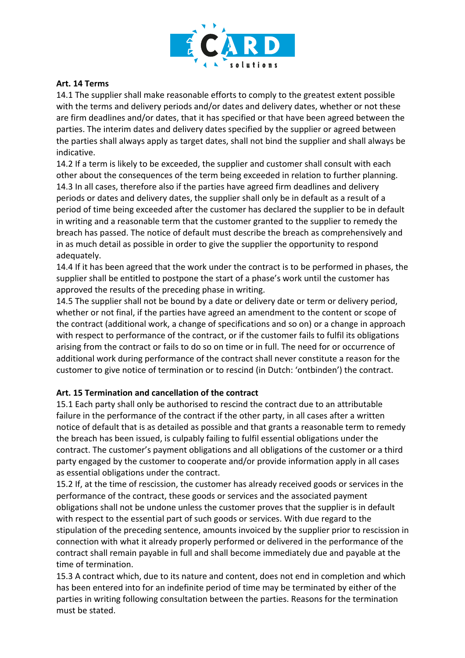

#### **Art. 14 Terms**

14.1 The supplier shall make reasonable efforts to comply to the greatest extent possible with the terms and delivery periods and/or dates and delivery dates, whether or not these are firm deadlines and/or dates, that it has specified or that have been agreed between the parties. The interim dates and delivery dates specified by the supplier or agreed between the parties shall always apply as target dates, shall not bind the supplier and shall always be indicative.

14.2 If a term is likely to be exceeded, the supplier and customer shall consult with each other about the consequences of the term being exceeded in relation to further planning. 14.3 In all cases, therefore also if the parties have agreed firm deadlines and delivery periods or dates and delivery dates, the supplier shall only be in default as a result of a period of time being exceeded after the customer has declared the supplier to be in default in writing and a reasonable term that the customer granted to the supplier to remedy the breach has passed. The notice of default must describe the breach as comprehensively and in as much detail as possible in order to give the supplier the opportunity to respond adequately.

14.4 If it has been agreed that the work under the contract is to be performed in phases, the supplier shall be entitled to postpone the start of a phase's work until the customer has approved the results of the preceding phase in writing.

14.5 The supplier shall not be bound by a date or delivery date or term or delivery period, whether or not final, if the parties have agreed an amendment to the content or scope of the contract (additional work, a change of specifications and so on) or a change in approach with respect to performance of the contract, or if the customer fails to fulfil its obligations arising from the contract or fails to do so on time or in full. The need for or occurrence of additional work during performance of the contract shall never constitute a reason for the customer to give notice of termination or to rescind (in Dutch: 'ontbinden') the contract.

### **Art. 15 Termination and cancellation of the contract**

15.1 Each party shall only be authorised to rescind the contract due to an attributable failure in the performance of the contract if the other party, in all cases after a written notice of default that is as detailed as possible and that grants a reasonable term to remedy the breach has been issued, is culpably failing to fulfil essential obligations under the contract. The customer's payment obligations and all obligations of the customer or a third party engaged by the customer to cooperate and/or provide information apply in all cases as essential obligations under the contract.

15.2 If, at the time of rescission, the customer has already received goods or services in the performance of the contract, these goods or services and the associated payment obligations shall not be undone unless the customer proves that the supplier is in default with respect to the essential part of such goods or services. With due regard to the stipulation of the preceding sentence, amounts invoiced by the supplier prior to rescission in connection with what it already properly performed or delivered in the performance of the contract shall remain payable in full and shall become immediately due and payable at the time of termination.

15.3 A contract which, due to its nature and content, does not end in completion and which has been entered into for an indefinite period of time may be terminated by either of the parties in writing following consultation between the parties. Reasons for the termination must be stated.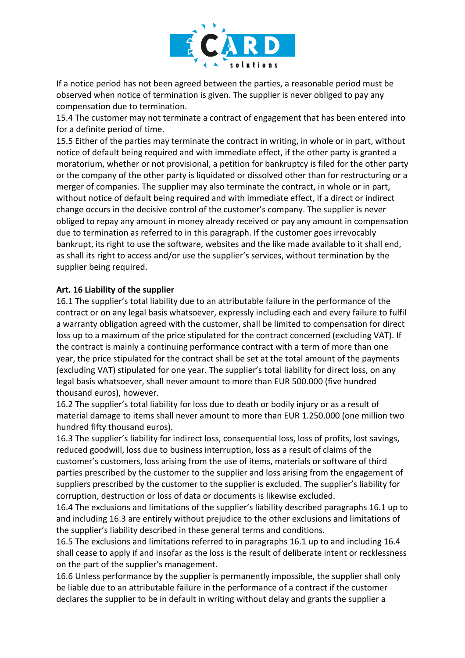

If a notice period has not been agreed between the parties, a reasonable period must be observed when notice of termination is given. The supplier is never obliged to pay any compensation due to termination.

15.4 The customer may not terminate a contract of engagement that has been entered into for a definite period of time.

15.5 Either of the parties may terminate the contract in writing, in whole or in part, without notice of default being required and with immediate effect, if the other party is granted a moratorium, whether or not provisional, a petition for bankruptcy is filed for the other party or the company of the other party is liquidated or dissolved other than for restructuring or a merger of companies. The supplier may also terminate the contract, in whole or in part, without notice of default being required and with immediate effect, if a direct or indirect change occurs in the decisive control of the customer's company. The supplier is never obliged to repay any amount in money already received or pay any amount in compensation due to termination as referred to in this paragraph. If the customer goes irrevocably bankrupt, its right to use the software, websites and the like made available to it shall end, as shall its right to access and/or use the supplier's services, without termination by the supplier being required.

#### **Art. 16 Liability of the supplier**

16.1 The supplier's total liability due to an attributable failure in the performance of the contract or on any legal basis whatsoever, expressly including each and every failure to fulfil a warranty obligation agreed with the customer, shall be limited to compensation for direct loss up to a maximum of the price stipulated for the contract concerned (excluding VAT). If the contract is mainly a continuing performance contract with a term of more than one year, the price stipulated for the contract shall be set at the total amount of the payments (excluding VAT) stipulated for one year. The supplier's total liability for direct loss, on any legal basis whatsoever, shall never amount to more than EUR 500.000 (five hundred thousand euros), however.

16.2 The supplier's total liability for loss due to death or bodily injury or as a result of material damage to items shall never amount to more than EUR 1.250.000 (one million two hundred fifty thousand euros).

16.3 The supplier's liability for indirect loss, consequential loss, loss of profits, lost savings, reduced goodwill, loss due to business interruption, loss as a result of claims of the customer's customers, loss arising from the use of items, materials or software of third parties prescribed by the customer to the supplier and loss arising from the engagement of suppliers prescribed by the customer to the supplier is excluded. The supplier's liability for corruption, destruction or loss of data or documents is likewise excluded.

16.4 The exclusions and limitations of the supplier's liability described paragraphs 16.1 up to and including 16.3 are entirely without prejudice to the other exclusions and limitations of the supplier's liability described in these general terms and conditions.

16.5 The exclusions and limitations referred to in paragraphs 16.1 up to and including 16.4 shall cease to apply if and insofar as the loss is the result of deliberate intent or recklessness on the part of the supplier's management.

16.6 Unless performance by the supplier is permanently impossible, the supplier shall only be liable due to an attributable failure in the performance of a contract if the customer declares the supplier to be in default in writing without delay and grants the supplier a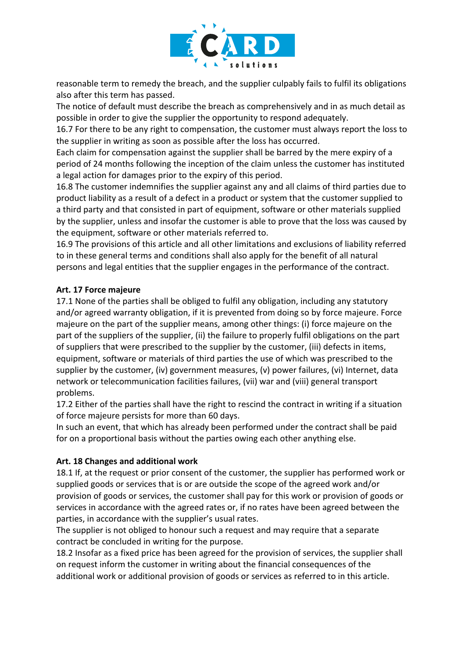

reasonable term to remedy the breach, and the supplier culpably fails to fulfil its obligations also after this term has passed.

The notice of default must describe the breach as comprehensively and in as much detail as possible in order to give the supplier the opportunity to respond adequately.

16.7 For there to be any right to compensation, the customer must always report the loss to the supplier in writing as soon as possible after the loss has occurred.

Each claim for compensation against the supplier shall be barred by the mere expiry of a period of 24 months following the inception of the claim unless the customer has instituted a legal action for damages prior to the expiry of this period.

16.8 The customer indemnifies the supplier against any and all claims of third parties due to product liability as a result of a defect in a product or system that the customer supplied to a third party and that consisted in part of equipment, software or other materials supplied by the supplier, unless and insofar the customer is able to prove that the loss was caused by the equipment, software or other materials referred to.

16.9 The provisions of this article and all other limitations and exclusions of liability referred to in these general terms and conditions shall also apply for the benefit of all natural persons and legal entities that the supplier engages in the performance of the contract.

### **Art. 17 Force majeure**

17.1 None of the parties shall be obliged to fulfil any obligation, including any statutory and/or agreed warranty obligation, if it is prevented from doing so by force majeure. Force majeure on the part of the supplier means, among other things: (i) force majeure on the part of the suppliers of the supplier, (ii) the failure to properly fulfil obligations on the part of suppliers that were prescribed to the supplier by the customer, (iii) defects in items, equipment, software or materials of third parties the use of which was prescribed to the supplier by the customer, (iv) government measures, (v) power failures, (vi) Internet, data network or telecommunication facilities failures, (vii) war and (viii) general transport problems.

17.2 Either of the parties shall have the right to rescind the contract in writing if a situation of force majeure persists for more than 60 days.

In such an event, that which has already been performed under the contract shall be paid for on a proportional basis without the parties owing each other anything else.

### **Art. 18 Changes and additional work**

18.1 If, at the request or prior consent of the customer, the supplier has performed work or supplied goods or services that is or are outside the scope of the agreed work and/or provision of goods or services, the customer shall pay for this work or provision of goods or services in accordance with the agreed rates or, if no rates have been agreed between the parties, in accordance with the supplier's usual rates.

The supplier is not obliged to honour such a request and may require that a separate contract be concluded in writing for the purpose.

18.2 Insofar as a fixed price has been agreed for the provision of services, the supplier shall on request inform the customer in writing about the financial consequences of the additional work or additional provision of goods or services as referred to in this article.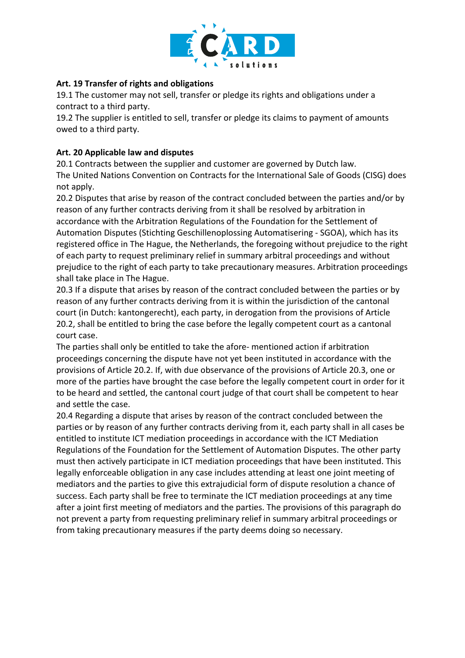

### **Art. 19 Transfer of rights and obligations**

19.1 The customer may not sell, transfer or pledge its rights and obligations under a contract to a third party.

19.2 The supplier is entitled to sell, transfer or pledge its claims to payment of amounts owed to a third party.

#### **Art. 20 Applicable law and disputes**

20.1 Contracts between the supplier and customer are governed by Dutch law. The United Nations Convention on Contracts for the International Sale of Goods (CISG) does not apply.

20.2 Disputes that arise by reason of the contract concluded between the parties and/or by reason of any further contracts deriving from it shall be resolved by arbitration in accordance with the Arbitration Regulations of the Foundation for the Settlement of Automation Disputes (Stichting Geschillenoplossing Automatisering - SGOA), which has its registered office in The Hague, the Netherlands, the foregoing without prejudice to the right of each party to request preliminary relief in summary arbitral proceedings and without prejudice to the right of each party to take precautionary measures. Arbitration proceedings shall take place in The Hague.

20.3 If a dispute that arises by reason of the contract concluded between the parties or by reason of any further contracts deriving from it is within the jurisdiction of the cantonal court (in Dutch: kantongerecht), each party, in derogation from the provisions of Article 20.2, shall be entitled to bring the case before the legally competent court as a cantonal court case.

The parties shall only be entitled to take the afore- mentioned action if arbitration proceedings concerning the dispute have not yet been instituted in accordance with the provisions of Article 20.2. If, with due observance of the provisions of Article 20.3, one or more of the parties have brought the case before the legally competent court in order for it to be heard and settled, the cantonal court judge of that court shall be competent to hear and settle the case.

20.4 Regarding a dispute that arises by reason of the contract concluded between the parties or by reason of any further contracts deriving from it, each party shall in all cases be entitled to institute ICT mediation proceedings in accordance with the ICT Mediation Regulations of the Foundation for the Settlement of Automation Disputes. The other party must then actively participate in ICT mediation proceedings that have been instituted. This legally enforceable obligation in any case includes attending at least one joint meeting of mediators and the parties to give this extrajudicial form of dispute resolution a chance of success. Each party shall be free to terminate the ICT mediation proceedings at any time after a joint first meeting of mediators and the parties. The provisions of this paragraph do not prevent a party from requesting preliminary relief in summary arbitral proceedings or from taking precautionary measures if the party deems doing so necessary.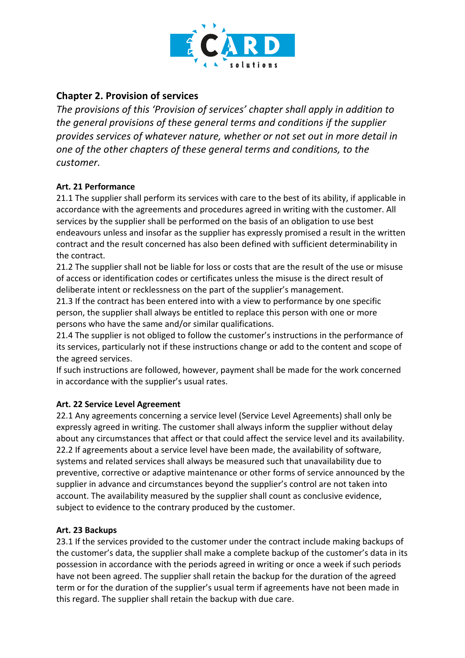

# **Chapter 2. Provision of services**

*The provisions of this 'Provision of services' chapter shall apply in addition to the general provisions of these general terms and conditions if the supplier provides services of whatever nature, whether or not set out in more detail in one of the other chapters of these general terms and conditions, to the customer.*

# **Art. 21 Performance**

21.1 The supplier shall perform its services with care to the best of its ability, if applicable in accordance with the agreements and procedures agreed in writing with the customer. All services by the supplier shall be performed on the basis of an obligation to use best endeavours unless and insofar as the supplier has expressly promised a result in the written contract and the result concerned has also been defined with sufficient determinability in the contract.

21.2 The supplier shall not be liable for loss or costs that are the result of the use or misuse of access or identification codes or certificates unless the misuse is the direct result of deliberate intent or recklessness on the part of the supplier's management.

21.3 If the contract has been entered into with a view to performance by one specific person, the supplier shall always be entitled to replace this person with one or more persons who have the same and/or similar qualifications.

21.4 The supplier is not obliged to follow the customer's instructions in the performance of its services, particularly not if these instructions change or add to the content and scope of the agreed services.

If such instructions are followed, however, payment shall be made for the work concerned in accordance with the supplier's usual rates.

# **Art. 22 Service Level Agreement**

22.1 Any agreements concerning a service level (Service Level Agreements) shall only be expressly agreed in writing. The customer shall always inform the supplier without delay about any circumstances that affect or that could affect the service level and its availability. 22.2 If agreements about a service level have been made, the availability of software, systems and related services shall always be measured such that unavailability due to preventive, corrective or adaptive maintenance or other forms of service announced by the supplier in advance and circumstances beyond the supplier's control are not taken into account. The availability measured by the supplier shall count as conclusive evidence, subject to evidence to the contrary produced by the customer.

# **Art. 23 Backups**

23.1 If the services provided to the customer under the contract include making backups of the customer's data, the supplier shall make a complete backup of the customer's data in its possession in accordance with the periods agreed in writing or once a week if such periods have not been agreed. The supplier shall retain the backup for the duration of the agreed term or for the duration of the supplier's usual term if agreements have not been made in this regard. The supplier shall retain the backup with due care.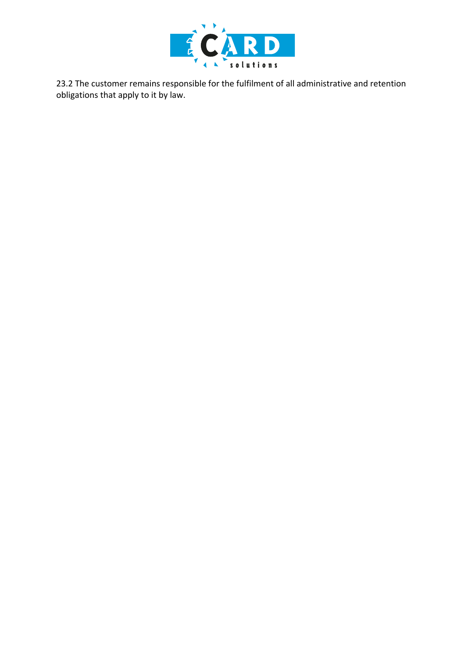

23.2 The customer remains responsible for the fulfilment of all administrative and retention obligations that apply to it by law.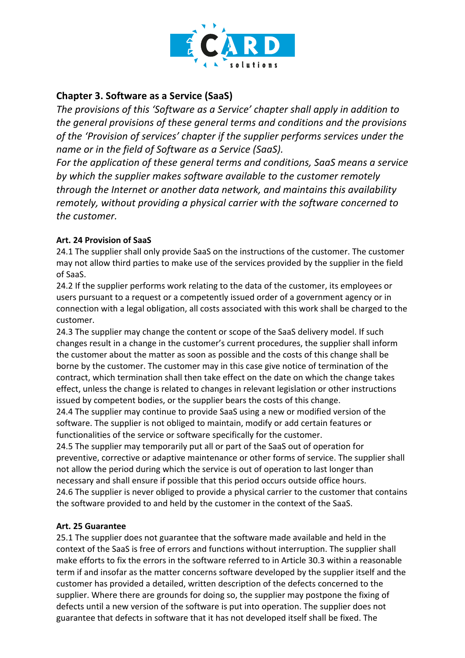

# **Chapter 3. Software as a Service (SaaS)**

*The provisions of this 'Software as a Service' chapter shall apply in addition to the general provisions of these general terms and conditions and the provisions of the 'Provision of services' chapter if the supplier performs services under the name or in the field of Software as a Service (SaaS).*

*For the application of these general terms and conditions, SaaS means a service by which the supplier makes software available to the customer remotely through the Internet or another data network, and maintains this availability remotely, without providing a physical carrier with the software concerned to the customer.*

### **Art. 24 Provision of SaaS**

24.1 The supplier shall only provide SaaS on the instructions of the customer. The customer may not allow third parties to make use of the services provided by the supplier in the field of SaaS.

24.2 If the supplier performs work relating to the data of the customer, its employees or users pursuant to a request or a competently issued order of a government agency or in connection with a legal obligation, all costs associated with this work shall be charged to the customer.

24.3 The supplier may change the content or scope of the SaaS delivery model. If such changes result in a change in the customer's current procedures, the supplier shall inform the customer about the matter as soon as possible and the costs of this change shall be borne by the customer. The customer may in this case give notice of termination of the contract, which termination shall then take effect on the date on which the change takes effect, unless the change is related to changes in relevant legislation or other instructions issued by competent bodies, or the supplier bears the costs of this change.

24.4 The supplier may continue to provide SaaS using a new or modified version of the software. The supplier is not obliged to maintain, modify or add certain features or functionalities of the service or software specifically for the customer.

24.5 The supplier may temporarily put all or part of the SaaS out of operation for preventive, corrective or adaptive maintenance or other forms of service. The supplier shall not allow the period during which the service is out of operation to last longer than necessary and shall ensure if possible that this period occurs outside office hours. 24.6 The supplier is never obliged to provide a physical carrier to the customer that contains the software provided to and held by the customer in the context of the SaaS.

### **Art. 25 Guarantee**

25.1 The supplier does not guarantee that the software made available and held in the context of the SaaS is free of errors and functions without interruption. The supplier shall make efforts to fix the errors in the software referred to in Article 30.3 within a reasonable term if and insofar as the matter concerns software developed by the supplier itself and the customer has provided a detailed, written description of the defects concerned to the supplier. Where there are grounds for doing so, the supplier may postpone the fixing of defects until a new version of the software is put into operation. The supplier does not guarantee that defects in software that it has not developed itself shall be fixed. The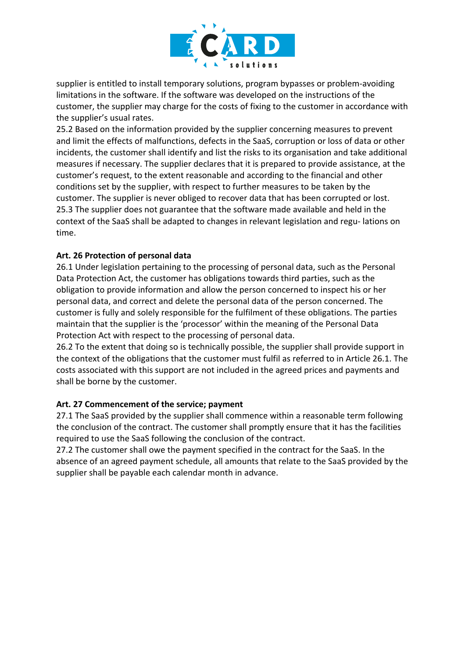

supplier is entitled to install temporary solutions, program bypasses or problem-avoiding limitations in the software. If the software was developed on the instructions of the customer, the supplier may charge for the costs of fixing to the customer in accordance with the supplier's usual rates.

25.2 Based on the information provided by the supplier concerning measures to prevent and limit the effects of malfunctions, defects in the SaaS, corruption or loss of data or other incidents, the customer shall identify and list the risks to its organisation and take additional measures if necessary. The supplier declares that it is prepared to provide assistance, at the customer's request, to the extent reasonable and according to the financial and other conditions set by the supplier, with respect to further measures to be taken by the customer. The supplier is never obliged to recover data that has been corrupted or lost. 25.3 The supplier does not guarantee that the software made available and held in the context of the SaaS shall be adapted to changes in relevant legislation and regu- lations on time.

### **Art. 26 Protection of personal data**

26.1 Under legislation pertaining to the processing of personal data, such as the Personal Data Protection Act, the customer has obligations towards third parties, such as the obligation to provide information and allow the person concerned to inspect his or her personal data, and correct and delete the personal data of the person concerned. The customer is fully and solely responsible for the fulfilment of these obligations. The parties maintain that the supplier is the 'processor' within the meaning of the Personal Data Protection Act with respect to the processing of personal data.

26.2 To the extent that doing so is technically possible, the supplier shall provide support in the context of the obligations that the customer must fulfil as referred to in Article 26.1. The costs associated with this support are not included in the agreed prices and payments and shall be borne by the customer.

### **Art. 27 Commencement of the service; payment**

27.1 The SaaS provided by the supplier shall commence within a reasonable term following the conclusion of the contract. The customer shall promptly ensure that it has the facilities required to use the SaaS following the conclusion of the contract.

27.2 The customer shall owe the payment specified in the contract for the SaaS. In the absence of an agreed payment schedule, all amounts that relate to the SaaS provided by the supplier shall be payable each calendar month in advance.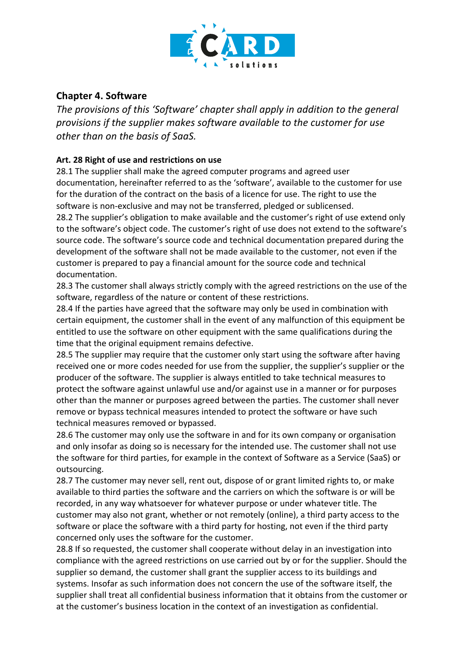

# **Chapter 4. Software**

*The provisions of this 'Software' chapter shall apply in addition to the general provisions if the supplier makes software available to the customer for use other than on the basis of SaaS.*

### **Art. 28 Right of use and restrictions on use**

28.1 The supplier shall make the agreed computer programs and agreed user documentation, hereinafter referred to as the 'software', available to the customer for use for the duration of the contract on the basis of a licence for use. The right to use the software is non-exclusive and may not be transferred, pledged or sublicensed.

28.2 The supplier's obligation to make available and the customer's right of use extend only to the software's object code. The customer's right of use does not extend to the software's source code. The software's source code and technical documentation prepared during the development of the software shall not be made available to the customer, not even if the customer is prepared to pay a financial amount for the source code and technical documentation.

28.3 The customer shall always strictly comply with the agreed restrictions on the use of the software, regardless of the nature or content of these restrictions.

28.4 If the parties have agreed that the software may only be used in combination with certain equipment, the customer shall in the event of any malfunction of this equipment be entitled to use the software on other equipment with the same qualifications during the time that the original equipment remains defective.

28.5 The supplier may require that the customer only start using the software after having received one or more codes needed for use from the supplier, the supplier's supplier or the producer of the software. The supplier is always entitled to take technical measures to protect the software against unlawful use and/or against use in a manner or for purposes other than the manner or purposes agreed between the parties. The customer shall never remove or bypass technical measures intended to protect the software or have such technical measures removed or bypassed.

28.6 The customer may only use the software in and for its own company or organisation and only insofar as doing so is necessary for the intended use. The customer shall not use the software for third parties, for example in the context of Software as a Service (SaaS) or outsourcing.

28.7 The customer may never sell, rent out, dispose of or grant limited rights to, or make available to third parties the software and the carriers on which the software is or will be recorded, in any way whatsoever for whatever purpose or under whatever title. The customer may also not grant, whether or not remotely (online), a third party access to the software or place the software with a third party for hosting, not even if the third party concerned only uses the software for the customer.

28.8 If so requested, the customer shall cooperate without delay in an investigation into compliance with the agreed restrictions on use carried out by or for the supplier. Should the supplier so demand, the customer shall grant the supplier access to its buildings and systems. Insofar as such information does not concern the use of the software itself, the supplier shall treat all confidential business information that it obtains from the customer or at the customer's business location in the context of an investigation as confidential.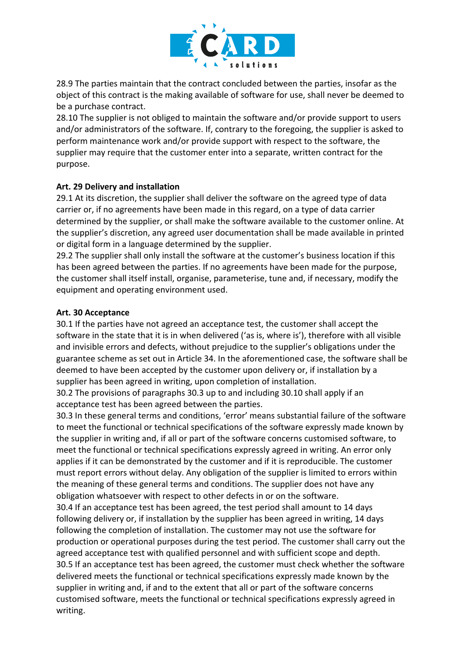

28.9 The parties maintain that the contract concluded between the parties, insofar as the object of this contract is the making available of software for use, shall never be deemed to be a purchase contract.

28.10 The supplier is not obliged to maintain the software and/or provide support to users and/or administrators of the software. If, contrary to the foregoing, the supplier is asked to perform maintenance work and/or provide support with respect to the software, the supplier may require that the customer enter into a separate, written contract for the purpose.

### **Art. 29 Delivery and installation**

29.1 At its discretion, the supplier shall deliver the software on the agreed type of data carrier or, if no agreements have been made in this regard, on a type of data carrier determined by the supplier, or shall make the software available to the customer online. At the supplier's discretion, any agreed user documentation shall be made available in printed or digital form in a language determined by the supplier.

29.2 The supplier shall only install the software at the customer's business location if this has been agreed between the parties. If no agreements have been made for the purpose, the customer shall itself install, organise, parameterise, tune and, if necessary, modify the equipment and operating environment used.

### **Art. 30 Acceptance**

30.1 If the parties have not agreed an acceptance test, the customer shall accept the software in the state that it is in when delivered ('as is, where is'), therefore with all visible and invisible errors and defects, without prejudice to the supplier's obligations under the guarantee scheme as set out in Article 34. In the aforementioned case, the software shall be deemed to have been accepted by the customer upon delivery or, if installation by a supplier has been agreed in writing, upon completion of installation.

30.2 The provisions of paragraphs 30.3 up to and including 30.10 shall apply if an acceptance test has been agreed between the parties.

30.3 In these general terms and conditions, 'error' means substantial failure of the software to meet the functional or technical specifications of the software expressly made known by the supplier in writing and, if all or part of the software concerns customised software, to meet the functional or technical specifications expressly agreed in writing. An error only applies if it can be demonstrated by the customer and if it is reproducible. The customer must report errors without delay. Any obligation of the supplier is limited to errors within the meaning of these general terms and conditions. The supplier does not have any obligation whatsoever with respect to other defects in or on the software.

30.4 If an acceptance test has been agreed, the test period shall amount to 14 days following delivery or, if installation by the supplier has been agreed in writing, 14 days following the completion of installation. The customer may not use the software for production or operational purposes during the test period. The customer shall carry out the agreed acceptance test with qualified personnel and with sufficient scope and depth. 30.5 If an acceptance test has been agreed, the customer must check whether the software delivered meets the functional or technical specifications expressly made known by the supplier in writing and, if and to the extent that all or part of the software concerns customised software, meets the functional or technical specifications expressly agreed in writing.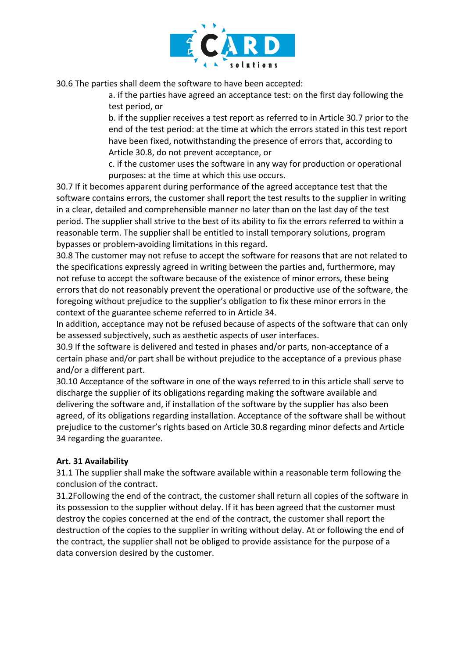

30.6 The parties shall deem the software to have been accepted:

a. if the parties have agreed an acceptance test: on the first day following the test period, or

b. if the supplier receives a test report as referred to in Article 30.7 prior to the end of the test period: at the time at which the errors stated in this test report have been fixed, notwithstanding the presence of errors that, according to Article 30.8, do not prevent acceptance, or

c. if the customer uses the software in any way for production or operational purposes: at the time at which this use occurs.

30.7 If it becomes apparent during performance of the agreed acceptance test that the software contains errors, the customer shall report the test results to the supplier in writing in a clear, detailed and comprehensible manner no later than on the last day of the test period. The supplier shall strive to the best of its ability to fix the errors referred to within a reasonable term. The supplier shall be entitled to install temporary solutions, program bypasses or problem-avoiding limitations in this regard.

30.8 The customer may not refuse to accept the software for reasons that are not related to the specifications expressly agreed in writing between the parties and, furthermore, may not refuse to accept the software because of the existence of minor errors, these being errors that do not reasonably prevent the operational or productive use of the software, the foregoing without prejudice to the supplier's obligation to fix these minor errors in the context of the guarantee scheme referred to in Article 34.

In addition, acceptance may not be refused because of aspects of the software that can only be assessed subjectively, such as aesthetic aspects of user interfaces.

30.9 If the software is delivered and tested in phases and/or parts, non-acceptance of a certain phase and/or part shall be without prejudice to the acceptance of a previous phase and/or a different part.

30.10 Acceptance of the software in one of the ways referred to in this article shall serve to discharge the supplier of its obligations regarding making the software available and delivering the software and, if installation of the software by the supplier has also been agreed, of its obligations regarding installation. Acceptance of the software shall be without prejudice to the customer's rights based on Article 30.8 regarding minor defects and Article 34 regarding the guarantee.

### **Art. 31 Availability**

31.1 The supplier shall make the software available within a reasonable term following the conclusion of the contract.

31.2Following the end of the contract, the customer shall return all copies of the software in its possession to the supplier without delay. If it has been agreed that the customer must destroy the copies concerned at the end of the contract, the customer shall report the destruction of the copies to the supplier in writing without delay. At or following the end of the contract, the supplier shall not be obliged to provide assistance for the purpose of a data conversion desired by the customer.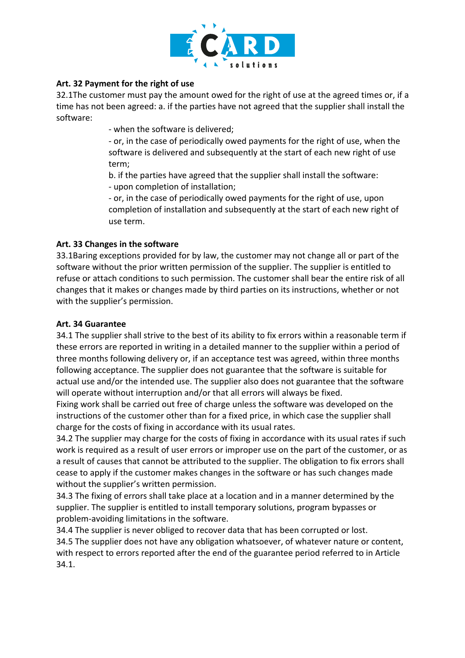

### **Art. 32 Payment for the right of use**

32.1The customer must pay the amount owed for the right of use at the agreed times or, if a time has not been agreed: a. if the parties have not agreed that the supplier shall install the software:

- when the software is delivered;

- or, in the case of periodically owed payments for the right of use, when the software is delivered and subsequently at the start of each new right of use term;

b. if the parties have agreed that the supplier shall install the software:

- upon completion of installation;

- or, in the case of periodically owed payments for the right of use, upon completion of installation and subsequently at the start of each new right of use term.

#### **Art. 33 Changes in the software**

33.1Baring exceptions provided for by law, the customer may not change all or part of the software without the prior written permission of the supplier. The supplier is entitled to refuse or attach conditions to such permission. The customer shall bear the entire risk of all changes that it makes or changes made by third parties on its instructions, whether or not with the supplier's permission.

#### **Art. 34 Guarantee**

34.1 The supplier shall strive to the best of its ability to fix errors within a reasonable term if these errors are reported in writing in a detailed manner to the supplier within a period of three months following delivery or, if an acceptance test was agreed, within three months following acceptance. The supplier does not guarantee that the software is suitable for actual use and/or the intended use. The supplier also does not guarantee that the software will operate without interruption and/or that all errors will always be fixed.

Fixing work shall be carried out free of charge unless the software was developed on the instructions of the customer other than for a fixed price, in which case the supplier shall charge for the costs of fixing in accordance with its usual rates.

34.2 The supplier may charge for the costs of fixing in accordance with its usual rates if such work is required as a result of user errors or improper use on the part of the customer, or as a result of causes that cannot be attributed to the supplier. The obligation to fix errors shall cease to apply if the customer makes changes in the software or has such changes made without the supplier's written permission.

34.3 The fixing of errors shall take place at a location and in a manner determined by the supplier. The supplier is entitled to install temporary solutions, program bypasses or problem-avoiding limitations in the software.

34.4 The supplier is never obliged to recover data that has been corrupted or lost. 34.5 The supplier does not have any obligation whatsoever, of whatever nature or content, with respect to errors reported after the end of the guarantee period referred to in Article 34.1.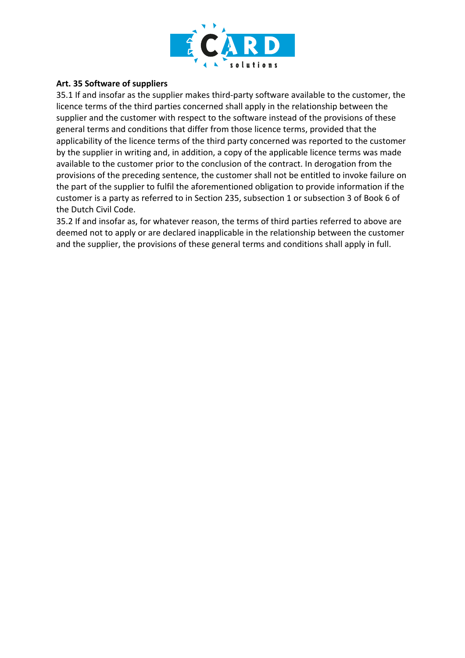

#### **Art. 35 Software of suppliers**

35.1 If and insofar as the supplier makes third-party software available to the customer, the licence terms of the third parties concerned shall apply in the relationship between the supplier and the customer with respect to the software instead of the provisions of these general terms and conditions that differ from those licence terms, provided that the applicability of the licence terms of the third party concerned was reported to the customer by the supplier in writing and, in addition, a copy of the applicable licence terms was made available to the customer prior to the conclusion of the contract. In derogation from the provisions of the preceding sentence, the customer shall not be entitled to invoke failure on the part of the supplier to fulfil the aforementioned obligation to provide information if the customer is a party as referred to in Section 235, subsection 1 or subsection 3 of Book 6 of the Dutch Civil Code.

35.2 If and insofar as, for whatever reason, the terms of third parties referred to above are deemed not to apply or are declared inapplicable in the relationship between the customer and the supplier, the provisions of these general terms and conditions shall apply in full.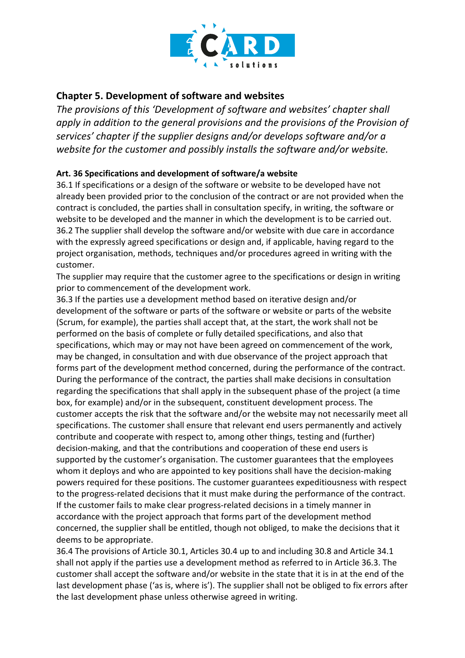

# **Chapter 5. Development of software and websites**

*The provisions of this 'Development of software and websites' chapter shall apply in addition to the general provisions and the provisions of the Provision of services' chapter if the supplier designs and/or develops software and/or a website for the customer and possibly installs the software and/or website.*

### **Art. 36 Specifications and development of software/a website**

36.1 If specifications or a design of the software or website to be developed have not already been provided prior to the conclusion of the contract or are not provided when the contract is concluded, the parties shall in consultation specify, in writing, the software or website to be developed and the manner in which the development is to be carried out. 36.2 The supplier shall develop the software and/or website with due care in accordance with the expressly agreed specifications or design and, if applicable, having regard to the project organisation, methods, techniques and/or procedures agreed in writing with the customer.

The supplier may require that the customer agree to the specifications or design in writing prior to commencement of the development work.

36.3 If the parties use a development method based on iterative design and/or development of the software or parts of the software or website or parts of the website (Scrum, for example), the parties shall accept that, at the start, the work shall not be performed on the basis of complete or fully detailed specifications, and also that specifications, which may or may not have been agreed on commencement of the work, may be changed, in consultation and with due observance of the project approach that forms part of the development method concerned, during the performance of the contract. During the performance of the contract, the parties shall make decisions in consultation regarding the specifications that shall apply in the subsequent phase of the project (a time box, for example) and/or in the subsequent, constituent development process. The customer accepts the risk that the software and/or the website may not necessarily meet all specifications. The customer shall ensure that relevant end users permanently and actively contribute and cooperate with respect to, among other things, testing and (further) decision-making, and that the contributions and cooperation of these end users is supported by the customer's organisation. The customer guarantees that the employees whom it deploys and who are appointed to key positions shall have the decision-making powers required for these positions. The customer guarantees expeditiousness with respect to the progress-related decisions that it must make during the performance of the contract. If the customer fails to make clear progress-related decisions in a timely manner in accordance with the project approach that forms part of the development method concerned, the supplier shall be entitled, though not obliged, to make the decisions that it deems to be appropriate.

36.4 The provisions of Article 30.1, Articles 30.4 up to and including 30.8 and Article 34.1 shall not apply if the parties use a development method as referred to in Article 36.3. The customer shall accept the software and/or website in the state that it is in at the end of the last development phase ('as is, where is'). The supplier shall not be obliged to fix errors after the last development phase unless otherwise agreed in writing.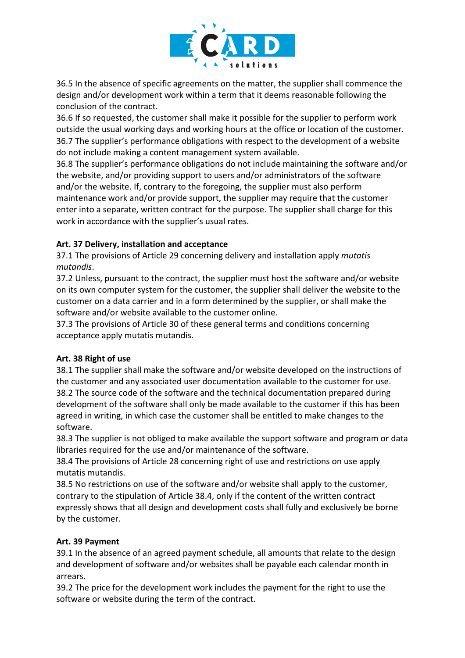

36.5 In the absence of specific agreements on the matter, the supplier shall commence the design and/or development work within a term that it deems reasonable following the conclusion of the contract.

36.6 If so requested, the customer shall make it possible for the supplier to perform work outside the usual working days and working hours at the office or location of the customer. 36.7 The supplier's performance obligations with respect to the development of a website do not include making a content management system available.

36.8 The supplier's performance obligations do not include maintaining the software and/or the website, and/or providing support to users and/or administrators of the software and/or the website. If, contrary to the foregoing, the supplier must also perform maintenance work and/or provide support, the supplier may require that the customer enter into a separate, written contract for the purpose. The supplier shall charge for this work in accordance with the supplier's usual rates.

### **Art. 37 Delivery, installation and acceptance**

37.1 The provisions of Article 29 concerning delivery and installation apply *mutatis mutandis*.

37.2 Unless, pursuant to the contract, the supplier must host the software and/or website on its own computer system for the customer, the supplier shall deliver the website to the customer on a data carrier and in a form determined by the supplier, or shall make the software and/or website available to the customer online.

37.3 The provisions of Article 30 of these general terms and conditions concerning acceptance apply mutatis mutandis.

### **Art. 38 Right of use**

38.1 The supplier shall make the software and/or website developed on the instructions of the customer and any associated user documentation available to the customer for use. 38.2 The source code of the software and the technical documentation prepared during development of the software shall only be made available to the customer if this has been agreed in writing, in which case the customer shall be entitled to make changes to the software.

38.3 The supplier is not obliged to make available the support software and program or data libraries required for the use and/or maintenance of the software.

38.4 The provisions of Article 28 concerning right of use and restrictions on use apply mutatis mutandis.

38.5 No restrictions on use of the software and/or website shall apply to the customer, contrary to the stipulation of Article 38.4, only if the content of the written contract expressly shows that all design and development costs shall fully and exclusively be borne by the customer.

### **Art. 39 Payment**

39.1 In the absence of an agreed payment schedule, all amounts that relate to the design and development of software and/or websites shall be payable each calendar month in arrears.

39.2 The price for the development work includes the payment for the right to use the software or website during the term of the contract.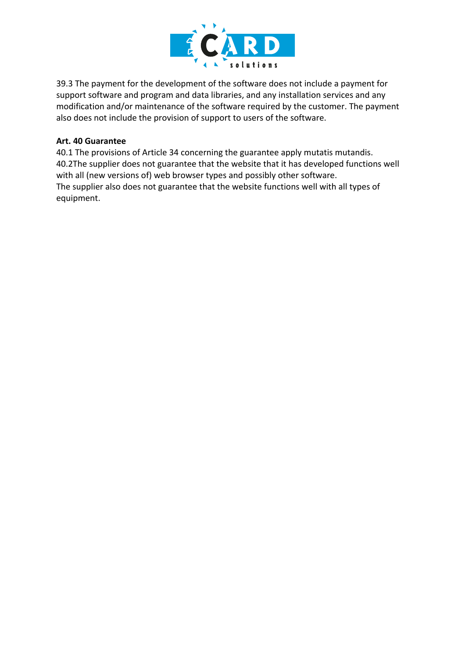

39.3 The payment for the development of the software does not include a payment for support software and program and data libraries, and any installation services and any modification and/or maintenance of the software required by the customer. The payment also does not include the provision of support to users of the software.

#### **Art. 40 Guarantee**

40.1 The provisions of Article 34 concerning the guarantee apply mutatis mutandis. 40.2The supplier does not guarantee that the website that it has developed functions well with all (new versions of) web browser types and possibly other software. The supplier also does not guarantee that the website functions well with all types of equipment.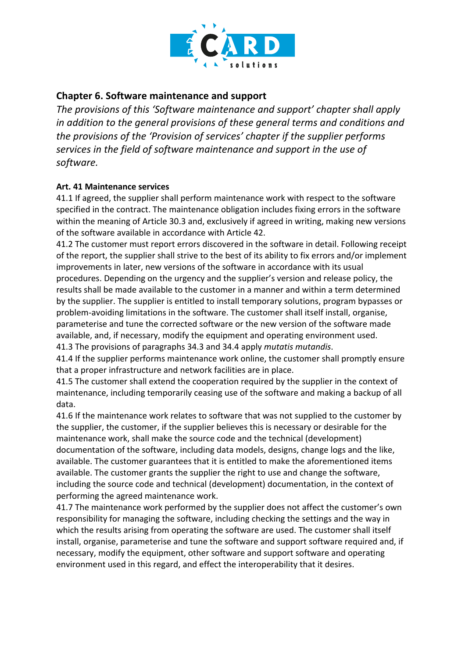

# **Chapter 6. Software maintenance and support**

*The provisions of this 'Software maintenance and support' chapter shall apply in addition to the general provisions of these general terms and conditions and the provisions of the 'Provision of services' chapter if the supplier performs services in the field of software maintenance and support in the use of software.*

### **Art. 41 Maintenance services**

41.1 If agreed, the supplier shall perform maintenance work with respect to the software specified in the contract. The maintenance obligation includes fixing errors in the software within the meaning of Article 30.3 and, exclusively if agreed in writing, making new versions of the software available in accordance with Article 42.

41.2 The customer must report errors discovered in the software in detail. Following receipt of the report, the supplier shall strive to the best of its ability to fix errors and/or implement improvements in later, new versions of the software in accordance with its usual procedures. Depending on the urgency and the supplier's version and release policy, the results shall be made available to the customer in a manner and within a term determined by the supplier. The supplier is entitled to install temporary solutions, program bypasses or problem-avoiding limitations in the software. The customer shall itself install, organise, parameterise and tune the corrected software or the new version of the software made available, and, if necessary, modify the equipment and operating environment used. 41.3 The provisions of paragraphs 34.3 and 34.4 apply *mutatis mutandis*.

41.4 If the supplier performs maintenance work online, the customer shall promptly ensure that a proper infrastructure and network facilities are in place.

41.5 The customer shall extend the cooperation required by the supplier in the context of maintenance, including temporarily ceasing use of the software and making a backup of all data.

41.6 If the maintenance work relates to software that was not supplied to the customer by the supplier, the customer, if the supplier believes this is necessary or desirable for the maintenance work, shall make the source code and the technical (development) documentation of the software, including data models, designs, change logs and the like, available. The customer guarantees that it is entitled to make the aforementioned items available. The customer grants the supplier the right to use and change the software, including the source code and technical (development) documentation, in the context of performing the agreed maintenance work.

41.7 The maintenance work performed by the supplier does not affect the customer's own responsibility for managing the software, including checking the settings and the way in which the results arising from operating the software are used. The customer shall itself install, organise, parameterise and tune the software and support software required and, if necessary, modify the equipment, other software and support software and operating environment used in this regard, and effect the interoperability that it desires.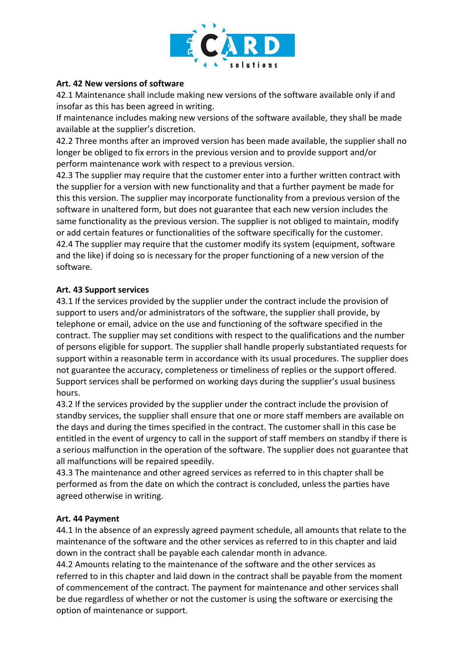

#### **Art. 42 New versions of software**

42.1 Maintenance shall include making new versions of the software available only if and insofar as this has been agreed in writing.

If maintenance includes making new versions of the software available, they shall be made available at the supplier's discretion.

42.2 Three months after an improved version has been made available, the supplier shall no longer be obliged to fix errors in the previous version and to provide support and/or perform maintenance work with respect to a previous version.

42.3 The supplier may require that the customer enter into a further written contract with the supplier for a version with new functionality and that a further payment be made for this this version. The supplier may incorporate functionality from a previous version of the software in unaltered form, but does not guarantee that each new version includes the same functionality as the previous version. The supplier is not obliged to maintain, modify or add certain features or functionalities of the software specifically for the customer. 42.4 The supplier may require that the customer modify its system (equipment, software and the like) if doing so is necessary for the proper functioning of a new version of the software.

#### **Art. 43 Support services**

43.1 If the services provided by the supplier under the contract include the provision of support to users and/or administrators of the software, the supplier shall provide, by telephone or email, advice on the use and functioning of the software specified in the contract. The supplier may set conditions with respect to the qualifications and the number of persons eligible for support. The supplier shall handle properly substantiated requests for support within a reasonable term in accordance with its usual procedures. The supplier does not guarantee the accuracy, completeness or timeliness of replies or the support offered. Support services shall be performed on working days during the supplier's usual business hours.

43.2 If the services provided by the supplier under the contract include the provision of standby services, the supplier shall ensure that one or more staff members are available on the days and during the times specified in the contract. The customer shall in this case be entitled in the event of urgency to call in the support of staff members on standby if there is a serious malfunction in the operation of the software. The supplier does not guarantee that all malfunctions will be repaired speedily.

43.3 The maintenance and other agreed services as referred to in this chapter shall be performed as from the date on which the contract is concluded, unless the parties have agreed otherwise in writing.

#### **Art. 44 Payment**

44.1 In the absence of an expressly agreed payment schedule, all amounts that relate to the maintenance of the software and the other services as referred to in this chapter and laid down in the contract shall be payable each calendar month in advance.

44.2 Amounts relating to the maintenance of the software and the other services as referred to in this chapter and laid down in the contract shall be payable from the moment of commencement of the contract. The payment for maintenance and other services shall be due regardless of whether or not the customer is using the software or exercising the option of maintenance or support.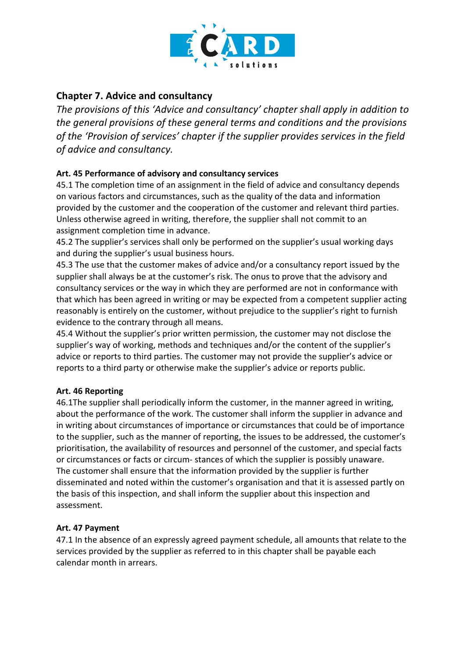

# **Chapter 7. Advice and consultancy**

*The provisions of this 'Advice and consultancy' chapter shall apply in addition to the general provisions of these general terms and conditions and the provisions of the 'Provision of services' chapter if the supplier provides services in the field of advice and consultancy.*

# **Art. 45 Performance of advisory and consultancy services**

45.1 The completion time of an assignment in the field of advice and consultancy depends on various factors and circumstances, such as the quality of the data and information provided by the customer and the cooperation of the customer and relevant third parties. Unless otherwise agreed in writing, therefore, the supplier shall not commit to an assignment completion time in advance.

45.2 The supplier's services shall only be performed on the supplier's usual working days and during the supplier's usual business hours.

45.3 The use that the customer makes of advice and/or a consultancy report issued by the supplier shall always be at the customer's risk. The onus to prove that the advisory and consultancy services or the way in which they are performed are not in conformance with that which has been agreed in writing or may be expected from a competent supplier acting reasonably is entirely on the customer, without prejudice to the supplier's right to furnish evidence to the contrary through all means.

45.4 Without the supplier's prior written permission, the customer may not disclose the supplier's way of working, methods and techniques and/or the content of the supplier's advice or reports to third parties. The customer may not provide the supplier's advice or reports to a third party or otherwise make the supplier's advice or reports public.

# **Art. 46 Reporting**

46.1The supplier shall periodically inform the customer, in the manner agreed in writing, about the performance of the work. The customer shall inform the supplier in advance and in writing about circumstances of importance or circumstances that could be of importance to the supplier, such as the manner of reporting, the issues to be addressed, the customer's prioritisation, the availability of resources and personnel of the customer, and special facts or circumstances or facts or circum- stances of which the supplier is possibly unaware. The customer shall ensure that the information provided by the supplier is further disseminated and noted within the customer's organisation and that it is assessed partly on the basis of this inspection, and shall inform the supplier about this inspection and assessment.

### **Art. 47 Payment**

47.1 In the absence of an expressly agreed payment schedule, all amounts that relate to the services provided by the supplier as referred to in this chapter shall be payable each calendar month in arrears.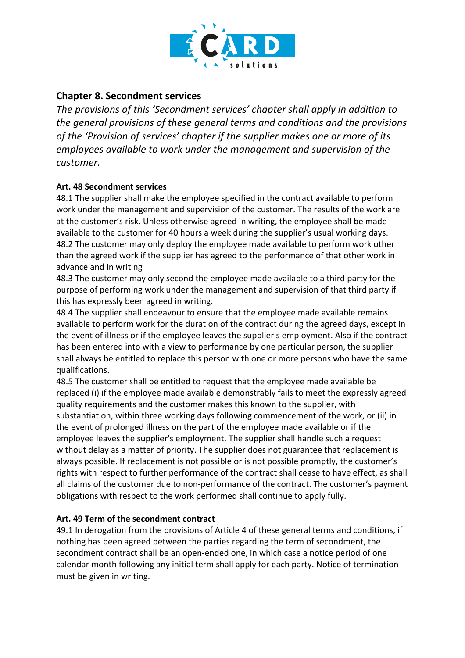

# **Chapter 8. Secondment services**

*The provisions of this 'Secondment services' chapter shall apply in addition to the general provisions of these general terms and conditions and the provisions of the 'Provision of services' chapter if the supplier makes one or more of its employees available to work under the management and supervision of the customer.*

### **Art. 48 Secondment services**

48.1 The supplier shall make the employee specified in the contract available to perform work under the management and supervision of the customer. The results of the work are at the customer's risk. Unless otherwise agreed in writing, the employee shall be made available to the customer for 40 hours a week during the supplier's usual working days. 48.2 The customer may only deploy the employee made available to perform work other than the agreed work if the supplier has agreed to the performance of that other work in advance and in writing

48.3 The customer may only second the employee made available to a third party for the purpose of performing work under the management and supervision of that third party if this has expressly been agreed in writing.

48.4 The supplier shall endeavour to ensure that the employee made available remains available to perform work for the duration of the contract during the agreed days, except in the event of illness or if the employee leaves the supplier's employment. Also if the contract has been entered into with a view to performance by one particular person, the supplier shall always be entitled to replace this person with one or more persons who have the same qualifications.

48.5 The customer shall be entitled to request that the employee made available be replaced (i) if the employee made available demonstrably fails to meet the expressly agreed quality requirements and the customer makes this known to the supplier, with substantiation, within three working days following commencement of the work, or (ii) in the event of prolonged illness on the part of the employee made available or if the employee leaves the supplier's employment. The supplier shall handle such a request without delay as a matter of priority. The supplier does not guarantee that replacement is always possible. If replacement is not possible or is not possible promptly, the customer's rights with respect to further performance of the contract shall cease to have effect, as shall all claims of the customer due to non-performance of the contract. The customer's payment obligations with respect to the work performed shall continue to apply fully.

### **Art. 49 Term of the secondment contract**

49.1 In derogation from the provisions of Article 4 of these general terms and conditions, if nothing has been agreed between the parties regarding the term of secondment, the secondment contract shall be an open-ended one, in which case a notice period of one calendar month following any initial term shall apply for each party. Notice of termination must be given in writing.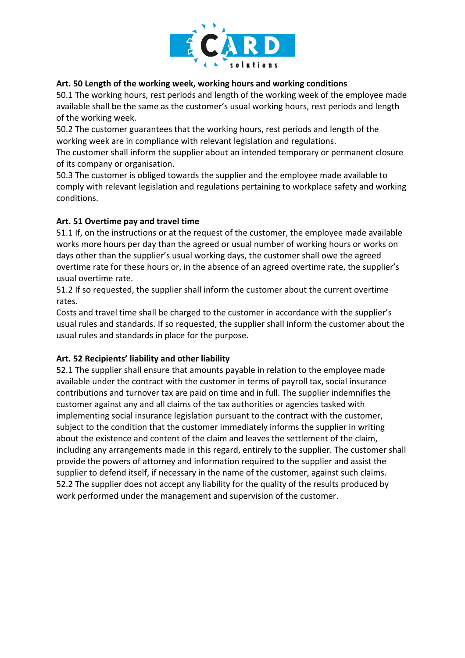

### **Art. 50 Length of the working week, working hours and working conditions**

50.1 The working hours, rest periods and length of the working week of the employee made available shall be the same as the customer's usual working hours, rest periods and length of the working week.

50.2 The customer guarantees that the working hours, rest periods and length of the working week are in compliance with relevant legislation and regulations.

The customer shall inform the supplier about an intended temporary or permanent closure of its company or organisation.

50.3 The customer is obliged towards the supplier and the employee made available to comply with relevant legislation and regulations pertaining to workplace safety and working conditions.

### **Art. 51 Overtime pay and travel time**

51.1 If, on the instructions or at the request of the customer, the employee made available works more hours per day than the agreed or usual number of working hours or works on days other than the supplier's usual working days, the customer shall owe the agreed overtime rate for these hours or, in the absence of an agreed overtime rate, the supplier's usual overtime rate.

51.2 If so requested, the supplier shall inform the customer about the current overtime rates.

Costs and travel time shall be charged to the customer in accordance with the supplier's usual rules and standards. If so requested, the supplier shall inform the customer about the usual rules and standards in place for the purpose.

### **Art. 52 Recipients' liability and other liability**

52.1 The supplier shall ensure that amounts payable in relation to the employee made available under the contract with the customer in terms of payroll tax, social insurance contributions and turnover tax are paid on time and in full. The supplier indemnifies the customer against any and all claims of the tax authorities or agencies tasked with implementing social insurance legislation pursuant to the contract with the customer, subject to the condition that the customer immediately informs the supplier in writing about the existence and content of the claim and leaves the settlement of the claim, including any arrangements made in this regard, entirely to the supplier. The customer shall provide the powers of attorney and information required to the supplier and assist the supplier to defend itself, if necessary in the name of the customer, against such claims. 52.2 The supplier does not accept any liability for the quality of the results produced by work performed under the management and supervision of the customer.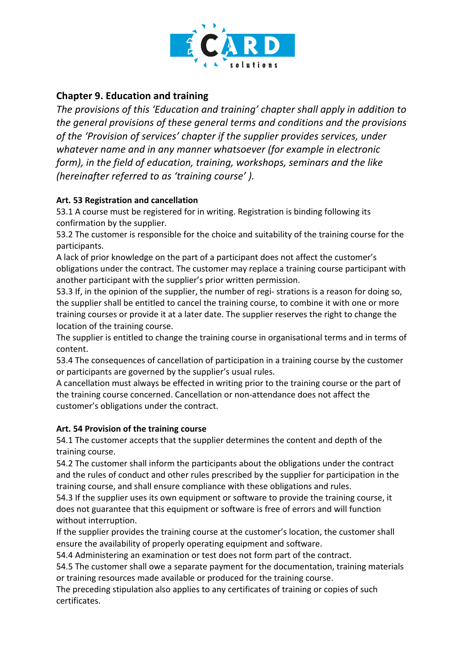

# **Chapter 9. Education and training**

*The provisions of this 'Education and training' chapter shall apply in addition to the general provisions of these general terms and conditions and the provisions of the 'Provision of services' chapter if the supplier provides services, under whatever name and in any manner whatsoever (for example in electronic form), in the field of education, training, workshops, seminars and the like (hereinafter referred to as 'training course' ).*

# **Art. 53 Registration and cancellation**

53.1 A course must be registered for in writing. Registration is binding following its confirmation by the supplier.

53.2 The customer is responsible for the choice and suitability of the training course for the participants.

A lack of prior knowledge on the part of a participant does not affect the customer's obligations under the contract. The customer may replace a training course participant with another participant with the supplier's prior written permission.

53.3 If, in the opinion of the supplier, the number of regi- strations is a reason for doing so, the supplier shall be entitled to cancel the training course, to combine it with one or more training courses or provide it at a later date. The supplier reserves the right to change the location of the training course.

The supplier is entitled to change the training course in organisational terms and in terms of content.

53.4 The consequences of cancellation of participation in a training course by the customer or participants are governed by the supplier's usual rules.

A cancellation must always be effected in writing prior to the training course or the part of the training course concerned. Cancellation or non-attendance does not affect the customer's obligations under the contract.

# **Art. 54 Provision of the training course**

54.1 The customer accepts that the supplier determines the content and depth of the training course.

54.2 The customer shall inform the participants about the obligations under the contract and the rules of conduct and other rules prescribed by the supplier for participation in the training course, and shall ensure compliance with these obligations and rules.

54.3 If the supplier uses its own equipment or software to provide the training course, it does not guarantee that this equipment or software is free of errors and will function without interruption.

If the supplier provides the training course at the customer's location, the customer shall ensure the availability of properly operating equipment and software.

54.4 Administering an examination or test does not form part of the contract.

54.5 The customer shall owe a separate payment for the documentation, training materials or training resources made available or produced for the training course.

The preceding stipulation also applies to any certificates of training or copies of such certificates.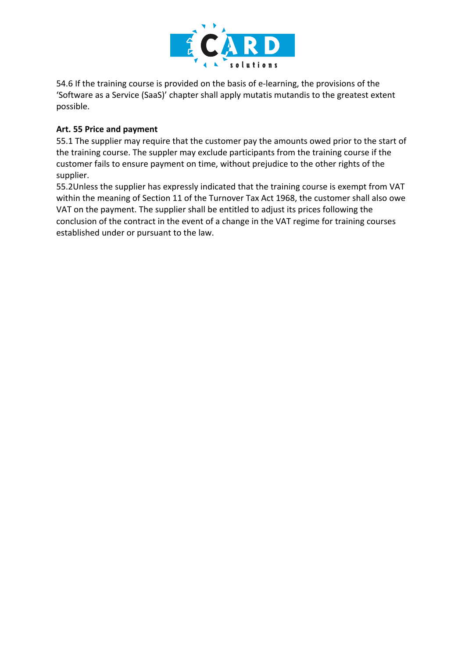

54.6 If the training course is provided on the basis of e-learning, the provisions of the 'Software as a Service (SaaS)' chapter shall apply mutatis mutandis to the greatest extent possible.

### **Art. 55 Price and payment**

55.1 The supplier may require that the customer pay the amounts owed prior to the start of the training course. The suppler may exclude participants from the training course if the customer fails to ensure payment on time, without prejudice to the other rights of the supplier.

55.2Unless the supplier has expressly indicated that the training course is exempt from VAT within the meaning of Section 11 of the Turnover Tax Act 1968, the customer shall also owe VAT on the payment. The supplier shall be entitled to adjust its prices following the conclusion of the contract in the event of a change in the VAT regime for training courses established under or pursuant to the law.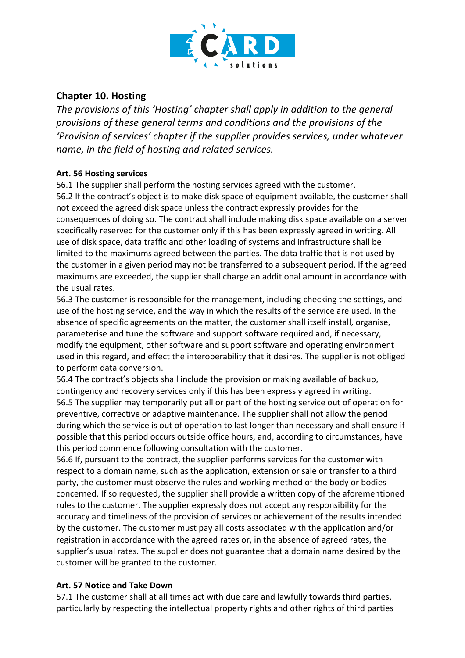

# **Chapter 10. Hosting**

*The provisions of this 'Hosting' chapter shall apply in addition to the general provisions of these general terms and conditions and the provisions of the 'Provision of services' chapter if the supplier provides services, under whatever name, in the field of hosting and related services.*

### **Art. 56 Hosting services**

56.1 The supplier shall perform the hosting services agreed with the customer. 56.2 If the contract's object is to make disk space of equipment available, the customer shall not exceed the agreed disk space unless the contract expressly provides for the consequences of doing so. The contract shall include making disk space available on a server specifically reserved for the customer only if this has been expressly agreed in writing. All use of disk space, data traffic and other loading of systems and infrastructure shall be limited to the maximums agreed between the parties. The data traffic that is not used by the customer in a given period may not be transferred to a subsequent period. If the agreed maximums are exceeded, the supplier shall charge an additional amount in accordance with the usual rates.

56.3 The customer is responsible for the management, including checking the settings, and use of the hosting service, and the way in which the results of the service are used. In the absence of specific agreements on the matter, the customer shall itself install, organise, parameterise and tune the software and support software required and, if necessary, modify the equipment, other software and support software and operating environment used in this regard, and effect the interoperability that it desires. The supplier is not obliged to perform data conversion.

56.4 The contract's objects shall include the provision or making available of backup, contingency and recovery services only if this has been expressly agreed in writing. 56.5 The supplier may temporarily put all or part of the hosting service out of operation for preventive, corrective or adaptive maintenance. The supplier shall not allow the period during which the service is out of operation to last longer than necessary and shall ensure if possible that this period occurs outside office hours, and, according to circumstances, have this period commence following consultation with the customer.

56.6 If, pursuant to the contract, the supplier performs services for the customer with respect to a domain name, such as the application, extension or sale or transfer to a third party, the customer must observe the rules and working method of the body or bodies concerned. If so requested, the supplier shall provide a written copy of the aforementioned rules to the customer. The supplier expressly does not accept any responsibility for the accuracy and timeliness of the provision of services or achievement of the results intended by the customer. The customer must pay all costs associated with the application and/or registration in accordance with the agreed rates or, in the absence of agreed rates, the supplier's usual rates. The supplier does not guarantee that a domain name desired by the customer will be granted to the customer.

# **Art. 57 Notice and Take Down**

57.1 The customer shall at all times act with due care and lawfully towards third parties, particularly by respecting the intellectual property rights and other rights of third parties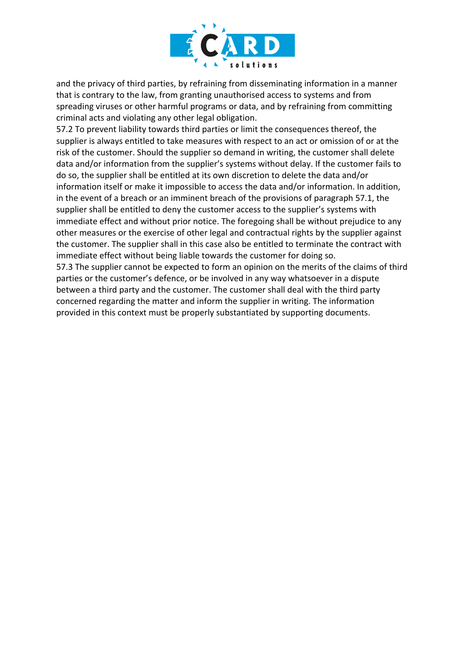

and the privacy of third parties, by refraining from disseminating information in a manner that is contrary to the law, from granting unauthorised access to systems and from spreading viruses or other harmful programs or data, and by refraining from committing criminal acts and violating any other legal obligation.

57.2 To prevent liability towards third parties or limit the consequences thereof, the supplier is always entitled to take measures with respect to an act or omission of or at the risk of the customer. Should the supplier so demand in writing, the customer shall delete data and/or information from the supplier's systems without delay. If the customer fails to do so, the supplier shall be entitled at its own discretion to delete the data and/or information itself or make it impossible to access the data and/or information. In addition, in the event of a breach or an imminent breach of the provisions of paragraph 57.1, the supplier shall be entitled to deny the customer access to the supplier's systems with immediate effect and without prior notice. The foregoing shall be without prejudice to any other measures or the exercise of other legal and contractual rights by the supplier against the customer. The supplier shall in this case also be entitled to terminate the contract with immediate effect without being liable towards the customer for doing so.

57.3 The supplier cannot be expected to form an opinion on the merits of the claims of third parties or the customer's defence, or be involved in any way whatsoever in a dispute between a third party and the customer. The customer shall deal with the third party concerned regarding the matter and inform the supplier in writing. The information provided in this context must be properly substantiated by supporting documents.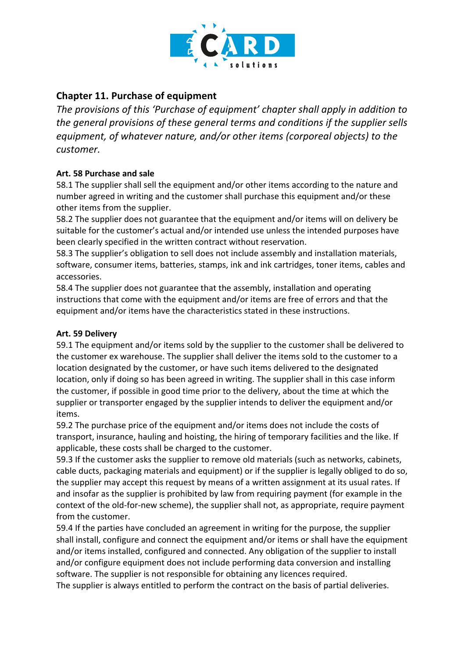

# **Chapter 11. Purchase of equipment**

*The provisions of this 'Purchase of equipment' chapter shall apply in addition to the general provisions of these general terms and conditions if the supplier sells equipment, of whatever nature, and/or other items (corporeal objects) to the customer.*

# **Art. 58 Purchase and sale**

58.1 The supplier shall sell the equipment and/or other items according to the nature and number agreed in writing and the customer shall purchase this equipment and/or these other items from the supplier.

58.2 The supplier does not guarantee that the equipment and/or items will on delivery be suitable for the customer's actual and/or intended use unless the intended purposes have been clearly specified in the written contract without reservation.

58.3 The supplier's obligation to sell does not include assembly and installation materials, software, consumer items, batteries, stamps, ink and ink cartridges, toner items, cables and accessories.

58.4 The supplier does not guarantee that the assembly, installation and operating instructions that come with the equipment and/or items are free of errors and that the equipment and/or items have the characteristics stated in these instructions.

### **Art. 59 Delivery**

59.1 The equipment and/or items sold by the supplier to the customer shall be delivered to the customer ex warehouse. The supplier shall deliver the items sold to the customer to a location designated by the customer, or have such items delivered to the designated location, only if doing so has been agreed in writing. The supplier shall in this case inform the customer, if possible in good time prior to the delivery, about the time at which the supplier or transporter engaged by the supplier intends to deliver the equipment and/or items.

59.2 The purchase price of the equipment and/or items does not include the costs of transport, insurance, hauling and hoisting, the hiring of temporary facilities and the like. If applicable, these costs shall be charged to the customer.

59.3 If the customer asks the supplier to remove old materials (such as networks, cabinets, cable ducts, packaging materials and equipment) or if the supplier is legally obliged to do so, the supplier may accept this request by means of a written assignment at its usual rates. If and insofar as the supplier is prohibited by law from requiring payment (for example in the context of the old-for-new scheme), the supplier shall not, as appropriate, require payment from the customer.

59.4 If the parties have concluded an agreement in writing for the purpose, the supplier shall install, configure and connect the equipment and/or items or shall have the equipment and/or items installed, configured and connected. Any obligation of the supplier to install and/or configure equipment does not include performing data conversion and installing software. The supplier is not responsible for obtaining any licences required. The supplier is always entitled to perform the contract on the basis of partial deliveries.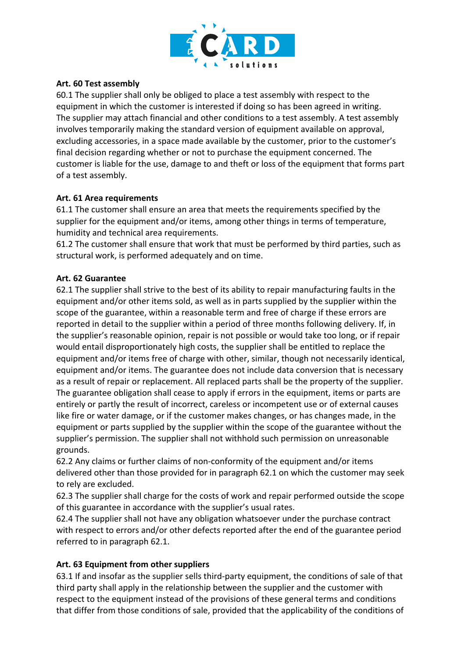

#### **Art. 60 Test assembly**

60.1 The supplier shall only be obliged to place a test assembly with respect to the equipment in which the customer is interested if doing so has been agreed in writing. The supplier may attach financial and other conditions to a test assembly. A test assembly involves temporarily making the standard version of equipment available on approval, excluding accessories, in a space made available by the customer, prior to the customer's final decision regarding whether or not to purchase the equipment concerned. The customer is liable for the use, damage to and theft or loss of the equipment that forms part of a test assembly.

#### **Art. 61 Area requirements**

61.1 The customer shall ensure an area that meets the requirements specified by the supplier for the equipment and/or items, among other things in terms of temperature, humidity and technical area requirements.

61.2 The customer shall ensure that work that must be performed by third parties, such as structural work, is performed adequately and on time.

#### **Art. 62 Guarantee**

62.1 The supplier shall strive to the best of its ability to repair manufacturing faults in the equipment and/or other items sold, as well as in parts supplied by the supplier within the scope of the guarantee, within a reasonable term and free of charge if these errors are reported in detail to the supplier within a period of three months following delivery. If, in the supplier's reasonable opinion, repair is not possible or would take too long, or if repair would entail disproportionately high costs, the supplier shall be entitled to replace the equipment and/or items free of charge with other, similar, though not necessarily identical, equipment and/or items. The guarantee does not include data conversion that is necessary as a result of repair or replacement. All replaced parts shall be the property of the supplier. The guarantee obligation shall cease to apply if errors in the equipment, items or parts are entirely or partly the result of incorrect, careless or incompetent use or of external causes like fire or water damage, or if the customer makes changes, or has changes made, in the equipment or parts supplied by the supplier within the scope of the guarantee without the supplier's permission. The supplier shall not withhold such permission on unreasonable grounds.

62.2 Any claims or further claims of non-conformity of the equipment and/or items delivered other than those provided for in paragraph 62.1 on which the customer may seek to rely are excluded.

62.3 The supplier shall charge for the costs of work and repair performed outside the scope of this guarantee in accordance with the supplier's usual rates.

62.4 The supplier shall not have any obligation whatsoever under the purchase contract with respect to errors and/or other defects reported after the end of the guarantee period referred to in paragraph 62.1.

### **Art. 63 Equipment from other suppliers**

63.1 If and insofar as the supplier sells third-party equipment, the conditions of sale of that third party shall apply in the relationship between the supplier and the customer with respect to the equipment instead of the provisions of these general terms and conditions that differ from those conditions of sale, provided that the applicability of the conditions of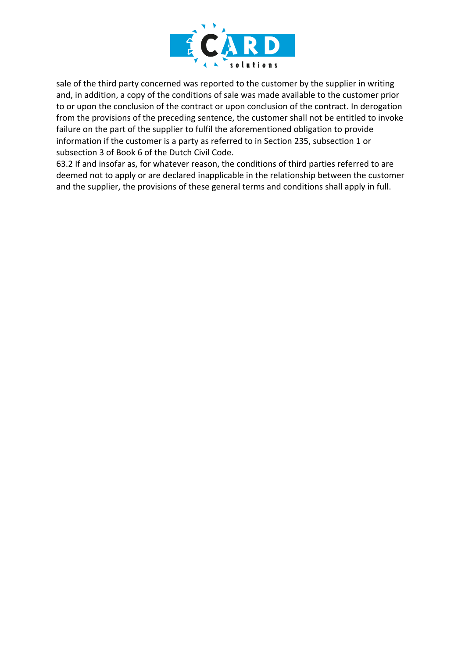

sale of the third party concerned was reported to the customer by the supplier in writing and, in addition, a copy of the conditions of sale was made available to the customer prior to or upon the conclusion of the contract or upon conclusion of the contract. In derogation from the provisions of the preceding sentence, the customer shall not be entitled to invoke failure on the part of the supplier to fulfil the aforementioned obligation to provide information if the customer is a party as referred to in Section 235, subsection 1 or subsection 3 of Book 6 of the Dutch Civil Code.

63.2 If and insofar as, for whatever reason, the conditions of third parties referred to are deemed not to apply or are declared inapplicable in the relationship between the customer and the supplier, the provisions of these general terms and conditions shall apply in full.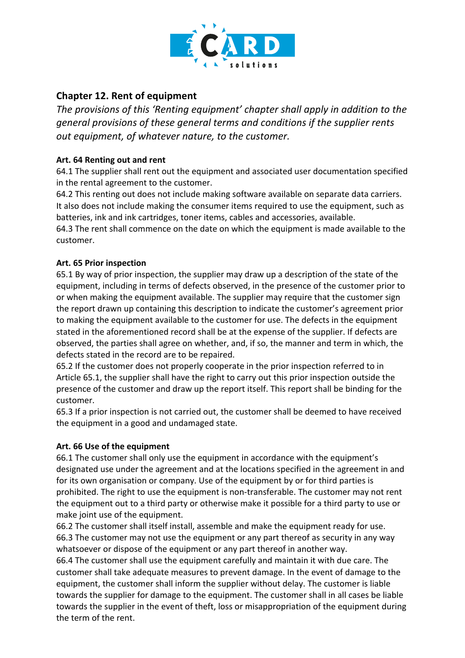

# **Chapter 12. Rent of equipment**

*The provisions of this 'Renting equipment' chapter shall apply in addition to the general provisions of these general terms and conditions if the supplier rents out equipment, of whatever nature, to the customer.*

### **Art. 64 Renting out and rent**

64.1 The supplier shall rent out the equipment and associated user documentation specified in the rental agreement to the customer.

64.2 This renting out does not include making software available on separate data carriers. It also does not include making the consumer items required to use the equipment, such as batteries, ink and ink cartridges, toner items, cables and accessories, available. 64.3 The rent shall commence on the date on which the equipment is made available to the customer.

### **Art. 65 Prior inspection**

65.1 By way of prior inspection, the supplier may draw up a description of the state of the equipment, including in terms of defects observed, in the presence of the customer prior to or when making the equipment available. The supplier may require that the customer sign the report drawn up containing this description to indicate the customer's agreement prior to making the equipment available to the customer for use. The defects in the equipment stated in the aforementioned record shall be at the expense of the supplier. If defects are observed, the parties shall agree on whether, and, if so, the manner and term in which, the defects stated in the record are to be repaired.

65.2 If the customer does not properly cooperate in the prior inspection referred to in Article 65.1, the supplier shall have the right to carry out this prior inspection outside the presence of the customer and draw up the report itself. This report shall be binding for the customer.

65.3 If a prior inspection is not carried out, the customer shall be deemed to have received the equipment in a good and undamaged state.

### **Art. 66 Use of the equipment**

66.1 The customer shall only use the equipment in accordance with the equipment's designated use under the agreement and at the locations specified in the agreement in and for its own organisation or company. Use of the equipment by or for third parties is prohibited. The right to use the equipment is non-transferable. The customer may not rent the equipment out to a third party or otherwise make it possible for a third party to use or make joint use of the equipment.

66.2 The customer shall itself install, assemble and make the equipment ready for use. 66.3 The customer may not use the equipment or any part thereof as security in any way whatsoever or dispose of the equipment or any part thereof in another way.

66.4 The customer shall use the equipment carefully and maintain it with due care. The customer shall take adequate measures to prevent damage. In the event of damage to the equipment, the customer shall inform the supplier without delay. The customer is liable towards the supplier for damage to the equipment. The customer shall in all cases be liable towards the supplier in the event of theft, loss or misappropriation of the equipment during the term of the rent.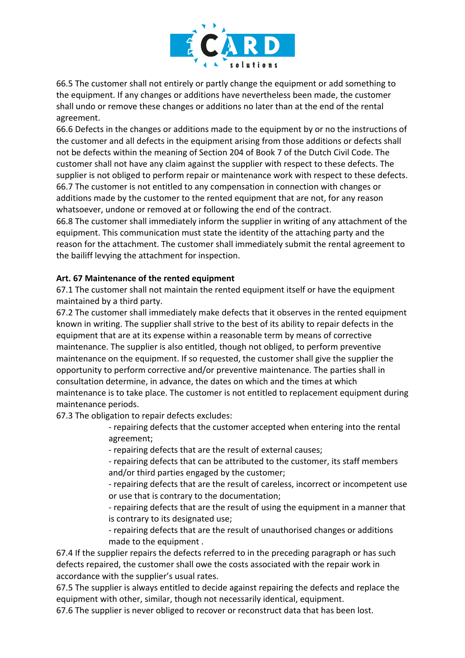

66.5 The customer shall not entirely or partly change the equipment or add something to the equipment. If any changes or additions have nevertheless been made, the customer shall undo or remove these changes or additions no later than at the end of the rental agreement.

66.6 Defects in the changes or additions made to the equipment by or no the instructions of the customer and all defects in the equipment arising from those additions or defects shall not be defects within the meaning of Section 204 of Book 7 of the Dutch Civil Code. The customer shall not have any claim against the supplier with respect to these defects. The supplier is not obliged to perform repair or maintenance work with respect to these defects. 66.7 The customer is not entitled to any compensation in connection with changes or additions made by the customer to the rented equipment that are not, for any reason whatsoever, undone or removed at or following the end of the contract.

66.8 The customer shall immediately inform the supplier in writing of any attachment of the equipment. This communication must state the identity of the attaching party and the reason for the attachment. The customer shall immediately submit the rental agreement to the bailiff levying the attachment for inspection.

### **Art. 67 Maintenance of the rented equipment**

67.1 The customer shall not maintain the rented equipment itself or have the equipment maintained by a third party.

67.2 The customer shall immediately make defects that it observes in the rented equipment known in writing. The supplier shall strive to the best of its ability to repair defects in the equipment that are at its expense within a reasonable term by means of corrective maintenance. The supplier is also entitled, though not obliged, to perform preventive maintenance on the equipment. If so requested, the customer shall give the supplier the opportunity to perform corrective and/or preventive maintenance. The parties shall in consultation determine, in advance, the dates on which and the times at which maintenance is to take place. The customer is not entitled to replacement equipment during maintenance periods.

67.3 The obligation to repair defects excludes:

- repairing defects that the customer accepted when entering into the rental agreement;

- repairing defects that are the result of external causes;

- repairing defects that can be attributed to the customer, its staff members and/or third parties engaged by the customer;

- repairing defects that are the result of careless, incorrect or incompetent use or use that is contrary to the documentation;

- repairing defects that are the result of using the equipment in a manner that is contrary to its designated use;

- repairing defects that are the result of unauthorised changes or additions made to the equipment .

67.4 If the supplier repairs the defects referred to in the preceding paragraph or has such defects repaired, the customer shall owe the costs associated with the repair work in accordance with the supplier's usual rates.

67.5 The supplier is always entitled to decide against repairing the defects and replace the equipment with other, similar, though not necessarily identical, equipment.

67.6 The supplier is never obliged to recover or reconstruct data that has been lost.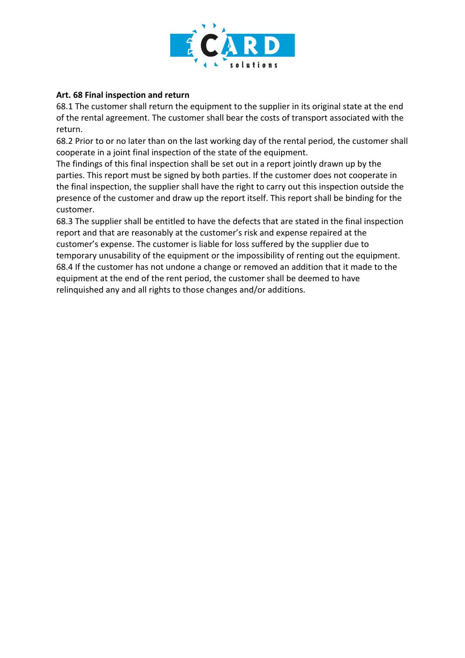

### **Art. 68 Final inspection and return**

68.1 The customer shall return the equipment to the supplier in its original state at the end of the rental agreement. The customer shall bear the costs of transport associated with the return.

68.2 Prior to or no later than on the last working day of the rental period, the customer shall cooperate in a joint final inspection of the state of the equipment.

The findings of this final inspection shall be set out in a report jointly drawn up by the parties. This report must be signed by both parties. If the customer does not cooperate in the final inspection, the supplier shall have the right to carry out this inspection outside the presence of the customer and draw up the report itself. This report shall be binding for the customer.

68.3 The supplier shall be entitled to have the defects that are stated in the final inspection report and that are reasonably at the customer's risk and expense repaired at the customer's expense. The customer is liable for loss suffered by the supplier due to temporary unusability of the equipment or the impossibility of renting out the equipment. 68.4 If the customer has not undone a change or removed an addition that it made to the equipment at the end of the rent period, the customer shall be deemed to have relinquished any and all rights to those changes and/or additions.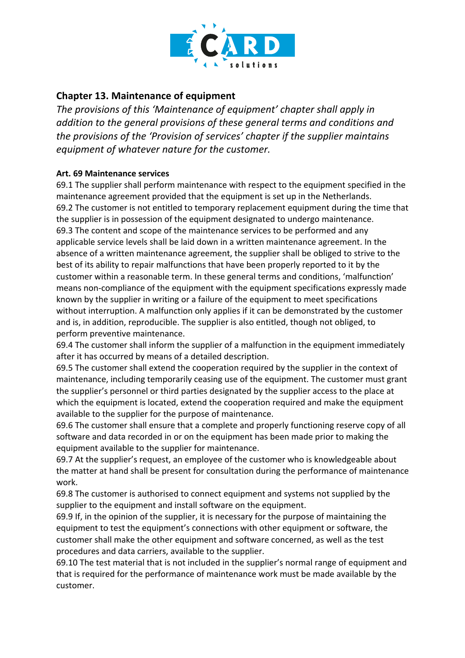

# **Chapter 13. Maintenance of equipment**

*The provisions of this 'Maintenance of equipment' chapter shall apply in addition to the general provisions of these general terms and conditions and the provisions of the 'Provision of services' chapter if the supplier maintains equipment of whatever nature for the customer.*

# **Art. 69 Maintenance services**

69.1 The supplier shall perform maintenance with respect to the equipment specified in the maintenance agreement provided that the equipment is set up in the Netherlands. 69.2 The customer is not entitled to temporary replacement equipment during the time that the supplier is in possession of the equipment designated to undergo maintenance. 69.3 The content and scope of the maintenance services to be performed and any applicable service levels shall be laid down in a written maintenance agreement. In the absence of a written maintenance agreement, the supplier shall be obliged to strive to the best of its ability to repair malfunctions that have been properly reported to it by the customer within a reasonable term. In these general terms and conditions, 'malfunction' means non-compliance of the equipment with the equipment specifications expressly made known by the supplier in writing or a failure of the equipment to meet specifications without interruption. A malfunction only applies if it can be demonstrated by the customer and is, in addition, reproducible. The supplier is also entitled, though not obliged, to perform preventive maintenance.

69.4 The customer shall inform the supplier of a malfunction in the equipment immediately after it has occurred by means of a detailed description.

69.5 The customer shall extend the cooperation required by the supplier in the context of maintenance, including temporarily ceasing use of the equipment. The customer must grant the supplier's personnel or third parties designated by the supplier access to the place at which the equipment is located, extend the cooperation required and make the equipment available to the supplier for the purpose of maintenance.

69.6 The customer shall ensure that a complete and properly functioning reserve copy of all software and data recorded in or on the equipment has been made prior to making the equipment available to the supplier for maintenance.

69.7 At the supplier's request, an employee of the customer who is knowledgeable about the matter at hand shall be present for consultation during the performance of maintenance work.

69.8 The customer is authorised to connect equipment and systems not supplied by the supplier to the equipment and install software on the equipment.

69.9 If, in the opinion of the supplier, it is necessary for the purpose of maintaining the equipment to test the equipment's connections with other equipment or software, the customer shall make the other equipment and software concerned, as well as the test procedures and data carriers, available to the supplier.

69.10 The test material that is not included in the supplier's normal range of equipment and that is required for the performance of maintenance work must be made available by the customer.